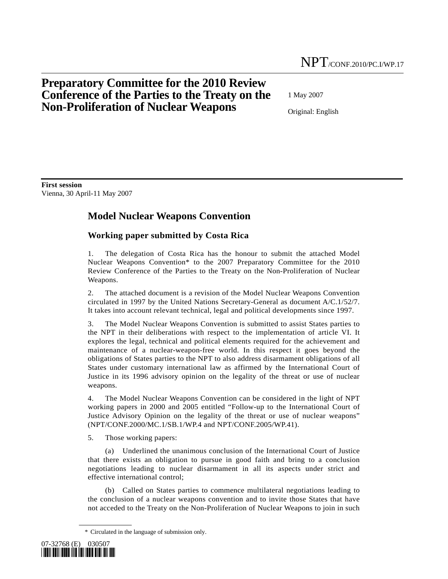## **Preparatory Committee for the 2010 Review Conference of the Parties to the Treaty on the Non-Proliferation of Nuclear Weapons**

1 May 2007

Original: English

**First session**  Vienna, 30 April-11 May 2007

#### **Model Nuclear Weapons Convention**

#### **Working paper submitted by Costa Rica**

1. The delegation of Costa Rica has the honour to submit the attached Model Nuclear Weapons Convention\* to the 2007 Preparatory Committee for the 2010 Review Conference of the Parties to the Treaty on the Non-Proliferation of Nuclear Weapons.

2. The attached document is a revision of the Model Nuclear Weapons Convention circulated in 1997 by the United Nations Secretary-General as document A/C.1/52/7. It takes into account relevant technical, legal and political developments since 1997.

3. The Model Nuclear Weapons Convention is submitted to assist States parties to the NPT in their deliberations with respect to the implementation of article VI. It explores the legal, technical and political elements required for the achievement and maintenance of a nuclear-weapon-free world. In this respect it goes beyond the obligations of States parties to the NPT to also address disarmament obligations of all States under customary international law as affirmed by the International Court of Justice in its 1996 advisory opinion on the legality of the threat or use of nuclear weapons.

4. The Model Nuclear Weapons Convention can be considered in the light of NPT working papers in 2000 and 2005 entitled "Follow-up to the International Court of Justice Advisory Opinion on the legality of the threat or use of nuclear weapons" (NPT/CONF.2000/MC.1/SB.1/WP.4 and NPT/CONF.2005/WP.41).

5. Those working papers:

 (a) Underlined the unanimous conclusion of the International Court of Justice that there exists an obligation to pursue in good faith and bring to a conclusion negotiations leading to nuclear disarmament in all its aspects under strict and effective international control;

 (b) Called on States parties to commence multilateral negotiations leading to the conclusion of a nuclear weapons convention and to invite those States that have not acceded to the Treaty on the Non-Proliferation of Nuclear Weapons to join in such

 <sup>\*</sup> Circulated in the language of submission only.

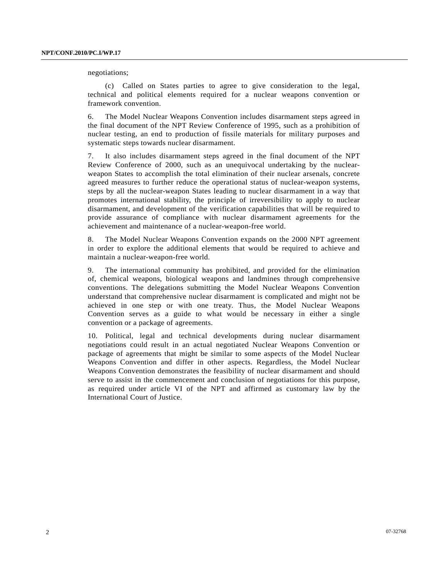negotiations;

 (c) Called on States parties to agree to give consideration to the legal, technical and political elements required for a nuclear weapons convention or framework convention.

6. The Model Nuclear Weapons Convention includes disarmament steps agreed in the final document of the NPT Review Conference of 1995, such as a prohibition of nuclear testing, an end to production of fissile materials for military purposes and systematic steps towards nuclear disarmament.

7. It also includes disarmament steps agreed in the final document of the NPT Review Conference of 2000, such as an unequivocal undertaking by the nuclearweapon States to accomplish the total elimination of their nuclear arsenals, concrete agreed measures to further reduce the operational status of nuclear-weapon systems, steps by all the nuclear-weapon States leading to nuclear disarmament in a way that promotes international stability, the principle of irreversibility to apply to nuclear disarmament, and development of the verification capabilities that will be required to provide assurance of compliance with nuclear disarmament agreements for the achievement and maintenance of a nuclear-weapon-free world.

8. The Model Nuclear Weapons Convention expands on the 2000 NPT agreement in order to explore the additional elements that would be required to achieve and maintain a nuclear-weapon-free world.

9. The international community has prohibited, and provided for the elimination of, chemical weapons, biological weapons and landmines through comprehensive conventions. The delegations submitting the Model Nuclear Weapons Convention understand that comprehensive nuclear disarmament is complicated and might not be achieved in one step or with one treaty. Thus, the Model Nuclear Weapons Convention serves as a guide to what would be necessary in either a single convention or a package of agreements.

10. Political, legal and technical developments during nuclear disarmament negotiations could result in an actual negotiated Nuclear Weapons Convention or package of agreements that might be similar to some aspects of the Model Nuclear Weapons Convention and differ in other aspects. Regardless, the Model Nuclear Weapons Convention demonstrates the feasibility of nuclear disarmament and should serve to assist in the commencement and conclusion of negotiations for this purpose, as required under article VI of the NPT and affirmed as customary law by the International Court of Justice.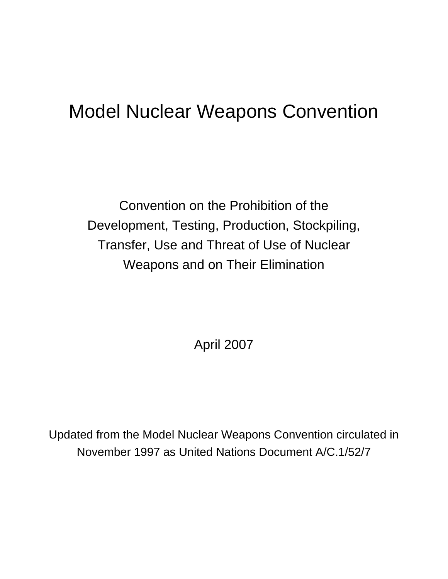# Model Nuclear Weapons Convention

Convention on the Prohibition of the Development, Testing, Production, Stockpiling, Transfer, Use and Threat of Use of Nuclear Weapons and on Their Elimination

April 2007

Updated from the Model Nuclear Weapons Convention circulated in November 1997 as United Nations Document A/C.1/52/7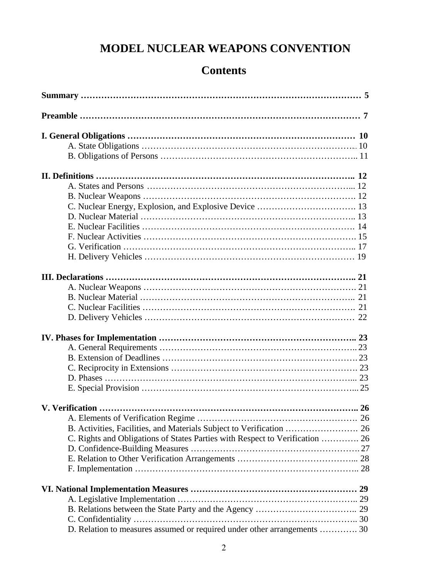## **MODEL NUCLEAR WEAPONS CONVENTION**

## **Contents**

| C. Rights and Obligations of States Parties with Respect to Verification  26 |  |
|------------------------------------------------------------------------------|--|
|                                                                              |  |
|                                                                              |  |
|                                                                              |  |
|                                                                              |  |
|                                                                              |  |
|                                                                              |  |
|                                                                              |  |
|                                                                              |  |
| D. Relation to measures assumed or required under other arrangements  30     |  |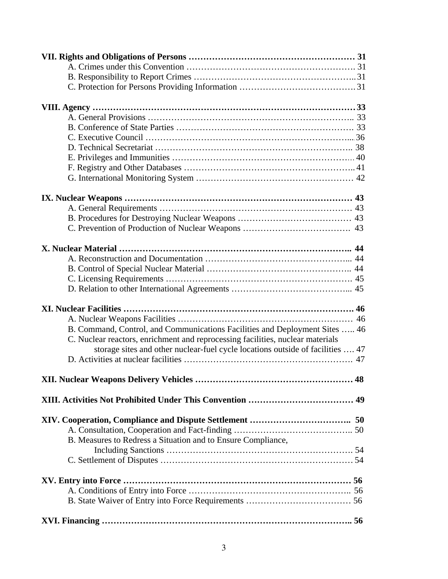| B. Command, Control, and Communications Facilities and Deployment Sites  46    |  |
|--------------------------------------------------------------------------------|--|
| C. Nuclear reactors, enrichment and reprocessing facilities, nuclear materials |  |
| storage sites and other nuclear-fuel cycle locations outside of facilities  47 |  |
|                                                                                |  |
|                                                                                |  |
|                                                                                |  |
|                                                                                |  |
|                                                                                |  |
|                                                                                |  |
|                                                                                |  |
| B. Measures to Redress a Situation and to Ensure Compliance,                   |  |
|                                                                                |  |
|                                                                                |  |
|                                                                                |  |
|                                                                                |  |
|                                                                                |  |
|                                                                                |  |
|                                                                                |  |
|                                                                                |  |
|                                                                                |  |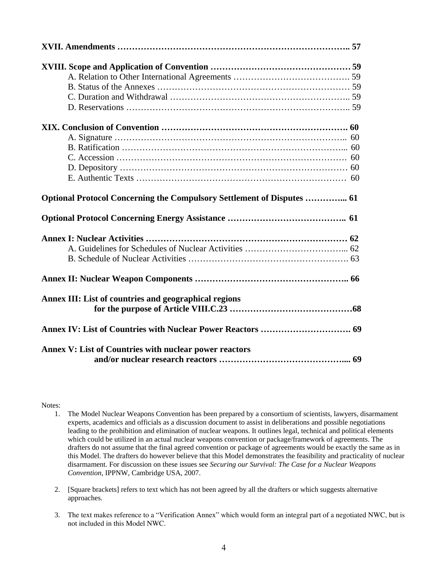| Optional Protocol Concerning the Compulsory Settlement of Disputes  61 |  |
|------------------------------------------------------------------------|--|
|                                                                        |  |
|                                                                        |  |
|                                                                        |  |
|                                                                        |  |
|                                                                        |  |
| Annex III: List of countries and geographical regions                  |  |
|                                                                        |  |
| <b>Annex V: List of Countries with nuclear power reactors</b>          |  |
|                                                                        |  |

Notes:

- 1. The Model Nuclear Weapons Convention has been prepared by a consortium of scientists, lawyers, disarmament experts, academics and officials as a discussion document to assist in deliberations and possible negotiations leading to the prohibition and elimination of nuclear weapons. It outlines legal, technical and political elements which could be utilized in an actual nuclear weapons convention or package/framework of agreements. The drafters do not assume that the final agreed convention or package of agreements would be exactly the same as in this Model. The drafters do however believe that this Model demonstrates the feasibility and practicality of nuclear disarmament. For discussion on these issues see *Securing our Survival: The Case for a Nuclear Weapons Convention*, IPPNW, Cambridge USA, 2007.
- 2. [Square brackets] refers to text which has not been agreed by all the drafters or which suggests alternative approaches.
- 3. The text makes reference to a "Verification Annex" which would form an integral part of a negotiated NWC, but is not included in this Model NWC.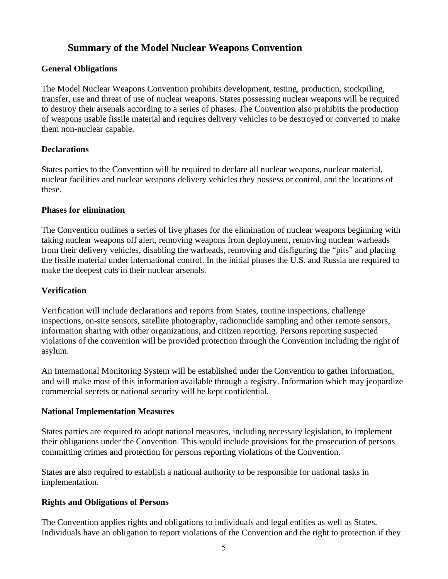## **Summary of the Model Nuclear Weapons Convention**

#### **General Obligations**

The Model Nuclear Weapons Convention prohibits development, testing, production, stockpiling, transfer, use and threat of use of nuclear weapons. States possessing nuclear weapons will be required to destroy their arsenals according to a series of phases. The Convention also prohibits the production of weapons usable fissile material and requires delivery vehicles to be destroyed or converted to make them non-nuclear capable.

#### **Declarations**

States parties to the Convention will be required to declare all nuclear weapons, nuclear material, nuclear facilities and nuclear weapons delivery vehicles they possess or control, and the locations of these.

#### **Phases for elimination**

The Convention outlines a series of five phases for the elimination of nuclear weapons beginning with taking nuclear weapons off alert, removing weapons from deployment, removing nuclear warheads from their delivery vehicles, disabling the warheads, removing and disfiguring the "pits" and placing the fissile material under international control. In the initial phases the U.S. and Russia are required to make the deepest cuts in their nuclear arsenals.

#### **Verification**

Verification will include declarations and reports from States, routine inspections, challenge inspections, on-site sensors, satellite photography, radionuclide sampling and other remote sensors, information sharing with other organizations, and citizen reporting. Persons reporting suspected violations of the convention will be provided protection through the Convention including the right of asylum.

An International Monitoring System will be established under the Convention to gather information, and will make most of this information available through a registry. Information which may jeopardize commercial secrets or national security will be kept confidential.

#### **National Implementation Measures**

States parties are required to adopt national measures, including necessary legislation, to implement their obligations under the Convention. This would include provisions for the prosecution of persons committing crimes and protection for persons reporting violations of the Convention.

States are also required to establish a national authority to be responsible for national tasks in implementation.

#### **Rights and Obligations of Persons**

The Convention applies rights and obligations to individuals and legal entities as well as States. Individuals have an obligation to report violations of the Convention and the right to protection if they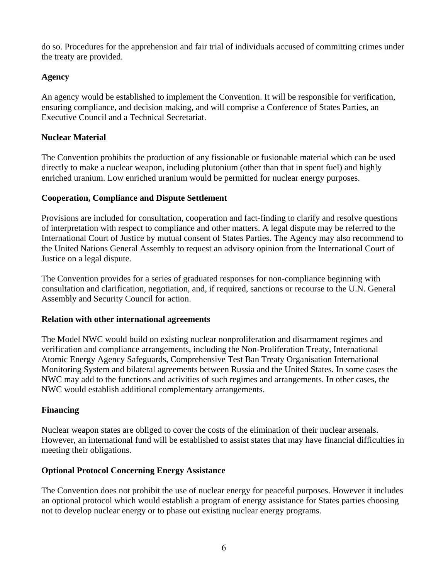do so. Procedures for the apprehension and fair trial of individuals accused of committing crimes under the treaty are provided.

#### **Agency**

An agency would be established to implement the Convention. It will be responsible for verification, ensuring compliance, and decision making, and will comprise a Conference of States Parties, an Executive Council and a Technical Secretariat.

#### **Nuclear Material**

The Convention prohibits the production of any fissionable or fusionable material which can be used directly to make a nuclear weapon, including plutonium (other than that in spent fuel) and highly enriched uranium. Low enriched uranium would be permitted for nuclear energy purposes.

#### **Cooperation, Compliance and Dispute Settlement**

Provisions are included for consultation, cooperation and fact-finding to clarify and resolve questions of interpretation with respect to compliance and other matters. A legal dispute may be referred to the International Court of Justice by mutual consent of States Parties. The Agency may also recommend to the United Nations General Assembly to request an advisory opinion from the International Court of Justice on a legal dispute.

The Convention provides for a series of graduated responses for non-compliance beginning with consultation and clarification, negotiation, and, if required, sanctions or recourse to the U.N. General Assembly and Security Council for action.

#### **Relation with other international agreements**

The Model NWC would build on existing nuclear nonproliferation and disarmament regimes and verification and compliance arrangements, including the Non-Proliferation Treaty, International Atomic Energy Agency Safeguards, Comprehensive Test Ban Treaty Organisation International Monitoring System and bilateral agreements between Russia and the United States. In some cases the NWC may add to the functions and activities of such regimes and arrangements. In other cases, the NWC would establish additional complementary arrangements.

#### **Financing**

Nuclear weapon states are obliged to cover the costs of the elimination of their nuclear arsenals. However, an international fund will be established to assist states that may have financial difficulties in meeting their obligations.

#### **Optional Protocol Concerning Energy Assistance**

The Convention does not prohibit the use of nuclear energy for peaceful purposes. However it includes an optional protocol which would establish a program of energy assistance for States parties choosing not to develop nuclear energy or to phase out existing nuclear energy programs.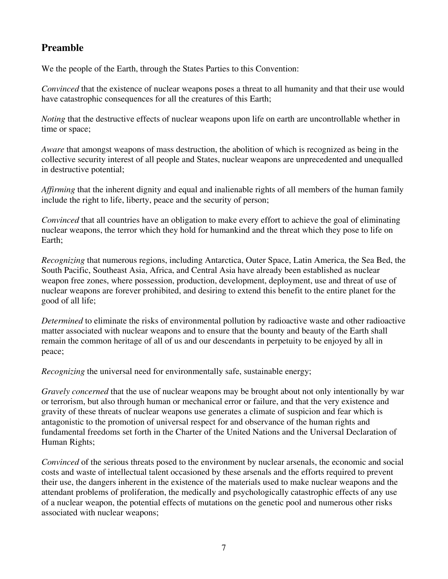## **Preamble**

We the people of the Earth, through the States Parties to this Convention:

*Convinced* that the existence of nuclear weapons poses a threat to all humanity and that their use would have catastrophic consequences for all the creatures of this Earth;

*Noting* that the destructive effects of nuclear weapons upon life on earth are uncontrollable whether in time or space;

*Aware* that amongst weapons of mass destruction, the abolition of which is recognized as being in the collective security interest of all people and States, nuclear weapons are unprecedented and unequalled in destructive potential;

*Affirming* that the inherent dignity and equal and inalienable rights of all members of the human family include the right to life, liberty, peace and the security of person;

*Convinced* that all countries have an obligation to make every effort to achieve the goal of eliminating nuclear weapons, the terror which they hold for humankind and the threat which they pose to life on Earth;

*Recognizing* that numerous regions, including Antarctica, Outer Space, Latin America, the Sea Bed, the South Pacific, Southeast Asia, Africa, and Central Asia have already been established as nuclear weapon free zones, where possession, production, development, deployment, use and threat of use of nuclear weapons are forever prohibited, and desiring to extend this benefit to the entire planet for the good of all life;

*Determined* to eliminate the risks of environmental pollution by radioactive waste and other radioactive matter associated with nuclear weapons and to ensure that the bounty and beauty of the Earth shall remain the common heritage of all of us and our descendants in perpetuity to be enjoyed by all in peace;

*Recognizing* the universal need for environmentally safe, sustainable energy;

*Gravely concerned* that the use of nuclear weapons may be brought about not only intentionally by war or terrorism, but also through human or mechanical error or failure, and that the very existence and gravity of these threats of nuclear weapons use generates a climate of suspicion and fear which is antagonistic to the promotion of universal respect for and observance of the human rights and fundamental freedoms set forth in the Charter of the United Nations and the Universal Declaration of Human Rights;

*Convinced* of the serious threats posed to the environment by nuclear arsenals, the economic and social costs and waste of intellectual talent occasioned by these arsenals and the efforts required to prevent their use, the dangers inherent in the existence of the materials used to make nuclear weapons and the attendant problems of proliferation, the medically and psychologically catastrophic effects of any use of a nuclear weapon, the potential effects of mutations on the genetic pool and numerous other risks associated with nuclear weapons;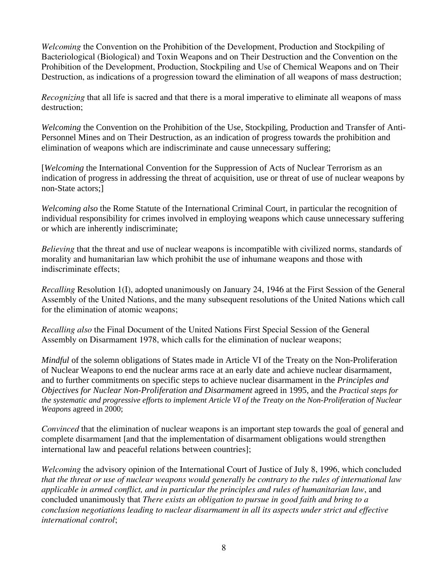*Welcoming* the Convention on the Prohibition of the Development, Production and Stockpiling of Bacteriological (Biological) and Toxin Weapons and on Their Destruction and the Convention on the Prohibition of the Development, Production, Stockpiling and Use of Chemical Weapons and on Their Destruction, as indications of a progression toward the elimination of all weapons of mass destruction;

*Recognizing* that all life is sacred and that there is a moral imperative to eliminate all weapons of mass destruction;

*Welcoming* the Convention on the Prohibition of the Use, Stockpiling, Production and Transfer of Anti-Personnel Mines and on Their Destruction, as an indication of progress towards the prohibition and elimination of weapons which are indiscriminate and cause unnecessary suffering;

[*Welcoming* the International Convention for the Suppression of Acts of Nuclear Terrorism as an indication of progress in addressing the threat of acquisition, use or threat of use of nuclear weapons by non-State actors;]

*Welcoming also* the Rome Statute of the International Criminal Court, in particular the recognition of individual responsibility for crimes involved in employing weapons which cause unnecessary suffering or which are inherently indiscriminate;

*Believing* that the threat and use of nuclear weapons is incompatible with civilized norms, standards of morality and humanitarian law which prohibit the use of inhumane weapons and those with indiscriminate effects;

*Recalling* Resolution 1(I), adopted unanimously on January 24, 1946 at the First Session of the General Assembly of the United Nations, and the many subsequent resolutions of the United Nations which call for the elimination of atomic weapons;

*Recalling also* the Final Document of the United Nations First Special Session of the General Assembly on Disarmament 1978, which calls for the elimination of nuclear weapons;

*Mindful* of the solemn obligations of States made in Article VI of the Treaty on the Non-Proliferation of Nuclear Weapons to end the nuclear arms race at an early date and achieve nuclear disarmament, and to further commitments on specific steps to achieve nuclear disarmament in the *Principles and Objectives for Nuclear Non-Proliferation and Disarmament* agreed in 1995, and the *Practical steps for the systematic and progressive efforts to implement Article VI of the Treaty on the Non-Proliferation of Nuclear Weapons* agreed in 2000;

*Convinced* that the elimination of nuclear weapons is an important step towards the goal of general and complete disarmament [and that the implementation of disarmament obligations would strengthen international law and peaceful relations between countries];

*Welcoming* the advisory opinion of the International Court of Justice of July 8, 1996, which concluded *that the threat or use of nuclear weapons would generally be contrary to the rules of international law applicable in armed conflict, and in particular the principles and rules of humanitarian law*, and concluded unanimously that *There exists an obligation to pursue in good faith and bring to a conclusion negotiations leading to nuclear disarmament in all its aspects under strict and effective international control*;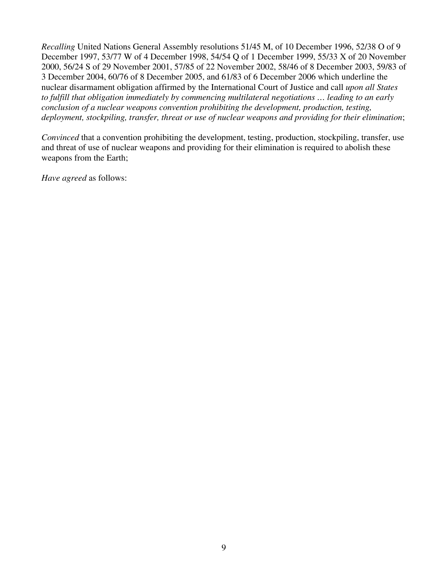*Recalling* United Nations General Assembly resolutions 51/45 M, of 10 December 1996, 52/38 O of 9 December 1997, 53/77 W of 4 December 1998, 54/54 Q of 1 December 1999, 55/33 X of 20 November 2000, 56/24 S of 29 November 2001, 57/85 of 22 November 2002, 58/46 of 8 December 2003, 59/83 of 3 December 2004, 60/76 of 8 December 2005, and 61/83 of 6 December 2006 which underline the nuclear disarmament obligation affirmed by the International Court of Justice and call *upon all States to fulfill that obligation immediately by commencing multilateral negotiations … leading to an early conclusion of a nuclear weapons convention prohibiting the development, production, testing, deployment, stockpiling, transfer, threat or use of nuclear weapons and providing for their elimination*;

*Convinced* that a convention prohibiting the development, testing, production, stockpiling, transfer, use and threat of use of nuclear weapons and providing for their elimination is required to abolish these weapons from the Earth;

*Have agreed* as follows: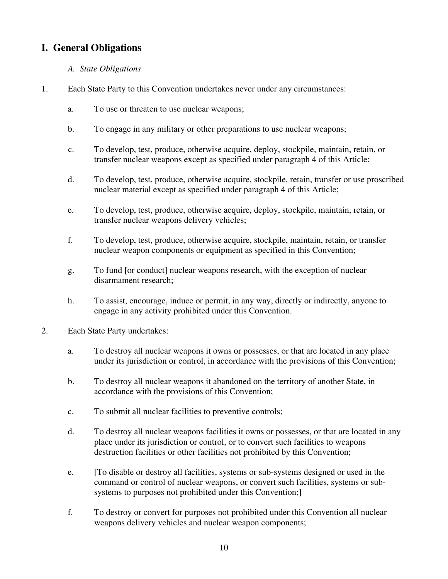## **I. General Obligations**

#### *A. State Obligations*

- 1. Each State Party to this Convention undertakes never under any circumstances:
	- a. To use or threaten to use nuclear weapons;
	- b. To engage in any military or other preparations to use nuclear weapons;
	- c. To develop, test, produce, otherwise acquire, deploy, stockpile, maintain, retain, or transfer nuclear weapons except as specified under paragraph 4 of this Article;
	- d. To develop, test, produce, otherwise acquire, stockpile, retain, transfer or use proscribed nuclear material except as specified under paragraph 4 of this Article;
	- e. To develop, test, produce, otherwise acquire, deploy, stockpile, maintain, retain, or transfer nuclear weapons delivery vehicles;
	- f. To develop, test, produce, otherwise acquire, stockpile, maintain, retain, or transfer nuclear weapon components or equipment as specified in this Convention;
	- g. To fund [or conduct] nuclear weapons research, with the exception of nuclear disarmament research;
	- h. To assist, encourage, induce or permit, in any way, directly or indirectly, anyone to engage in any activity prohibited under this Convention.
- 2. Each State Party undertakes:
	- a. To destroy all nuclear weapons it owns or possesses, or that are located in any place under its jurisdiction or control, in accordance with the provisions of this Convention;
	- b. To destroy all nuclear weapons it abandoned on the territory of another State, in accordance with the provisions of this Convention;
	- c. To submit all nuclear facilities to preventive controls;
	- d. To destroy all nuclear weapons facilities it owns or possesses, or that are located in any place under its jurisdiction or control, or to convert such facilities to weapons destruction facilities or other facilities not prohibited by this Convention;
	- e. [To disable or destroy all facilities, systems or sub-systems designed or used in the command or control of nuclear weapons, or convert such facilities, systems or subsystems to purposes not prohibited under this Convention;]
	- f. To destroy or convert for purposes not prohibited under this Convention all nuclear weapons delivery vehicles and nuclear weapon components;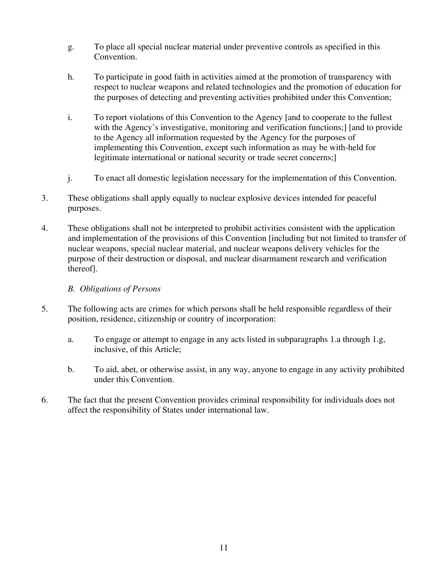- g. To place all special nuclear material under preventive controls as specified in this Convention.
- h. To participate in good faith in activities aimed at the promotion of transparency with respect to nuclear weapons and related technologies and the promotion of education for the purposes of detecting and preventing activities prohibited under this Convention;
- i. To report violations of this Convention to the Agency [and to cooperate to the fullest with the Agency's investigative, monitoring and verification functions; and to provide to the Agency all information requested by the Agency for the purposes of implementing this Convention, except such information as may be with-held for legitimate international or national security or trade secret concerns;]
- j. To enact all domestic legislation necessary for the implementation of this Convention.
- 3. These obligations shall apply equally to nuclear explosive devices intended for peaceful purposes.
- 4. These obligations shall not be interpreted to prohibit activities consistent with the application and implementation of the provisions of this Convention [including but not limited to transfer of nuclear weapons, special nuclear material, and nuclear weapons delivery vehicles for the purpose of their destruction or disposal, and nuclear disarmament research and verification thereof].

#### *B. Obligations of Persons*

- 5. The following acts are crimes for which persons shall be held responsible regardless of their position, residence, citizenship or country of incorporation:
	- a. To engage or attempt to engage in any acts listed in subparagraphs 1.a through 1.g, inclusive, of this Article;
	- b. To aid, abet, or otherwise assist, in any way, anyone to engage in any activity prohibited under this Convention.
- 6. The fact that the present Convention provides criminal responsibility for individuals does not affect the responsibility of States under international law.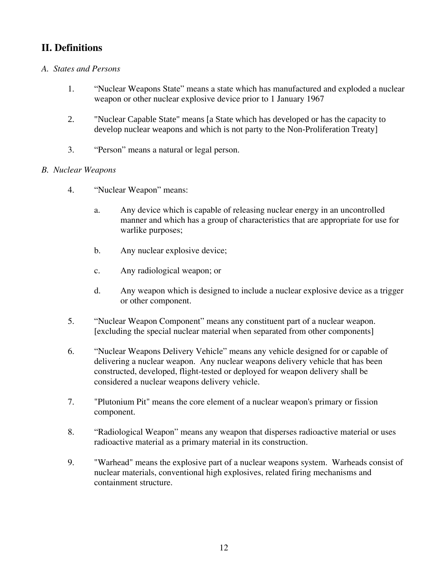## **II. Definitions**

#### *A. States and Persons*

- 1. "Nuclear Weapons State" means a state which has manufactured and exploded a nuclear weapon or other nuclear explosive device prior to 1 January 1967
- 2. "Nuclear Capable State" means [a State which has developed or has the capacity to develop nuclear weapons and which is not party to the Non-Proliferation Treaty]
- 3. "Person" means a natural or legal person.

#### *B. Nuclear Weapons*

- 4. "Nuclear Weapon" means:
	- a. Any device which is capable of releasing nuclear energy in an uncontrolled manner and which has a group of characteristics that are appropriate for use for warlike purposes;
	- b. Any nuclear explosive device;
	- c. Any radiological weapon; or
	- d. Any weapon which is designed to include a nuclear explosive device as a trigger or other component.
- 5. "Nuclear Weapon Component" means any constituent part of a nuclear weapon. [excluding the special nuclear material when separated from other components]
- 6. "Nuclear Weapons Delivery Vehicle" means any vehicle designed for or capable of delivering a nuclear weapon. Any nuclear weapons delivery vehicle that has been constructed, developed, flight-tested or deployed for weapon delivery shall be considered a nuclear weapons delivery vehicle.
- 7. "Plutonium Pit" means the core element of a nuclear weapon's primary or fission component.
- 8. "Radiological Weapon" means any weapon that disperses radioactive material or uses radioactive material as a primary material in its construction.
- 9. "Warhead" means the explosive part of a nuclear weapons system. Warheads consist of nuclear materials, conventional high explosives, related firing mechanisms and containment structure.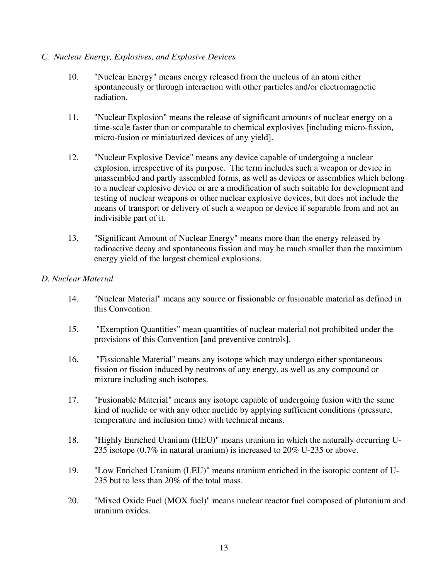#### *C. Nuclear Energy, Explosives, and Explosive Devices*

- 10. "Nuclear Energy" means energy released from the nucleus of an atom either spontaneously or through interaction with other particles and/or electromagnetic radiation.
- 11. "Nuclear Explosion" means the release of significant amounts of nuclear energy on a time-scale faster than or comparable to chemical explosives [including micro-fission, micro-fusion or miniaturized devices of any yield].
- 12. "Nuclear Explosive Device" means any device capable of undergoing a nuclear explosion, irrespective of its purpose. The term includes such a weapon or device in unassembled and partly assembled forms, as well as devices or assemblies which belong to a nuclear explosive device or are a modification of such suitable for development and testing of nuclear weapons or other nuclear explosive devices, but does not include the means of transport or delivery of such a weapon or device if separable from and not an indivisible part of it.
- 13. "Significant Amount of Nuclear Energy" means more than the energy released by radioactive decay and spontaneous fission and may be much smaller than the maximum energy yield of the largest chemical explosions.

#### *D. Nuclear Material*

- 14. "Nuclear Material" means any source or fissionable or fusionable material as defined in this Convention.
- 15. "Exemption Quantities" mean quantities of nuclear material not prohibited under the provisions of this Convention [and preventive controls].
- 16. "Fissionable Material" means any isotope which may undergo either spontaneous fission or fission induced by neutrons of any energy, as well as any compound or mixture including such isotopes.
- 17. "Fusionable Material" means any isotope capable of undergoing fusion with the same kind of nuclide or with any other nuclide by applying sufficient conditions (pressure, temperature and inclusion time) with technical means.
- 18. "Highly Enriched Uranium (HEU)" means uranium in which the naturally occurring U-235 isotope (0.7% in natural uranium) is increased to 20% U-235 or above.
- 19. "Low Enriched Uranium (LEU)" means uranium enriched in the isotopic content of U-235 but to less than 20% of the total mass.
- 20. "Mixed Oxide Fuel (MOX fuel)" means nuclear reactor fuel composed of plutonium and uranium oxides.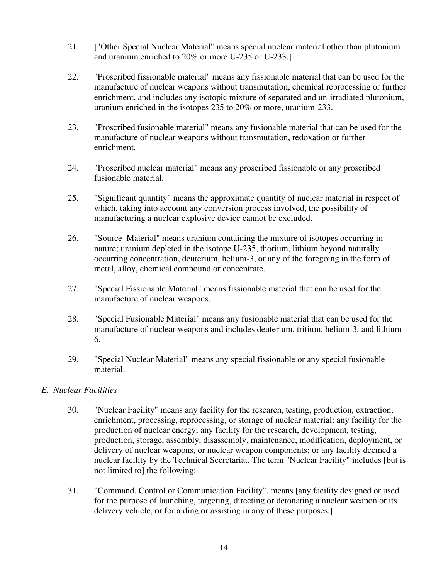- 21. ["Other Special Nuclear Material" means special nuclear material other than plutonium and uranium enriched to 20% or more U-235 or U-233.]
- 22. "Proscribed fissionable material" means any fissionable material that can be used for the manufacture of nuclear weapons without transmutation, chemical reprocessing or further enrichment, and includes any isotopic mixture of separated and un-irradiated plutonium, uranium enriched in the isotopes 235 to 20% or more, uranium-233.
- 23. "Proscribed fusionable material" means any fusionable material that can be used for the manufacture of nuclear weapons without transmutation, redoxation or further enrichment.
- 24. "Proscribed nuclear material" means any proscribed fissionable or any proscribed fusionable material.
- 25. "Significant quantity" means the approximate quantity of nuclear material in respect of which, taking into account any conversion process involved, the possibility of manufacturing a nuclear explosive device cannot be excluded.
- 26. "Source Material" means uranium containing the mixture of isotopes occurring in nature; uranium depleted in the isotope U-235, thorium, lithium beyond naturally occurring concentration, deuterium, helium-3, or any of the foregoing in the form of metal, alloy, chemical compound or concentrate.
- 27. "Special Fissionable Material" means fissionable material that can be used for the manufacture of nuclear weapons.
- 28. "Special Fusionable Material" means any fusionable material that can be used for the manufacture of nuclear weapons and includes deuterium, tritium, helium-3, and lithium-6.
- 29. "Special Nuclear Material" means any special fissionable or any special fusionable material.

#### *E. Nuclear Facilities*

- 30. "Nuclear Facility" means any facility for the research, testing, production, extraction, enrichment, processing, reprocessing, or storage of nuclear material; any facility for the production of nuclear energy; any facility for the research, development, testing, production, storage, assembly, disassembly, maintenance, modification, deployment, or delivery of nuclear weapons, or nuclear weapon components; or any facility deemed a nuclear facility by the Technical Secretariat. The term "Nuclear Facility" includes [but is not limited to] the following:
- 31. "Command, Control or Communication Facility", means [any facility designed or used for the purpose of launching, targeting, directing or detonating a nuclear weapon or its delivery vehicle, or for aiding or assisting in any of these purposes.]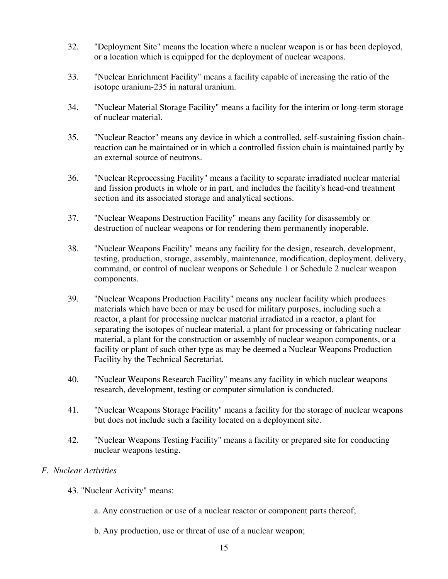- 32. "Deployment Site" means the location where a nuclear weapon is or has been deployed, or a location which is equipped for the deployment of nuclear weapons.
- 33. "Nuclear Enrichment Facility" means a facility capable of increasing the ratio of the isotope uranium-235 in natural uranium.
- 34. "Nuclear Material Storage Facility" means a facility for the interim or long-term storage of nuclear material.
- 35. "Nuclear Reactor" means any device in which a controlled, self-sustaining fission chainreaction can be maintained or in which a controlled fission chain is maintained partly by an external source of neutrons.
- 36. "Nuclear Reprocessing Facility" means a facility to separate irradiated nuclear material and fission products in whole or in part, and includes the facility's head-end treatment section and its associated storage and analytical sections.
- 37. "Nuclear Weapons Destruction Facility" means any facility for disassembly or destruction of nuclear weapons or for rendering them permanently inoperable.
- 38. "Nuclear Weapons Facility" means any facility for the design, research, development, testing, production, storage, assembly, maintenance, modification, deployment, delivery, command, or control of nuclear weapons or Schedule 1 or Schedule 2 nuclear weapon components.
- 39. "Nuclear Weapons Production Facility" means any nuclear facility which produces materials which have been or may be used for military purposes, including such a reactor, a plant for processing nuclear material irradiated in a reactor, a plant for separating the isotopes of nuclear material, a plant for processing or fabricating nuclear material, a plant for the construction or assembly of nuclear weapon components, or a facility or plant of such other type as may be deemed a Nuclear Weapons Production Facility by the Technical Secretariat.
- 40. "Nuclear Weapons Research Facility" means any facility in which nuclear weapons research, development, testing or computer simulation is conducted.
- 41. "Nuclear Weapons Storage Facility" means a facility for the storage of nuclear weapons but does not include such a facility located on a deployment site.
- 42. "Nuclear Weapons Testing Facility" means a facility or prepared site for conducting nuclear weapons testing.

#### *F. Nuclear Activities*

- 43. "Nuclear Activity" means:
	- a. Any construction or use of a nuclear reactor or component parts thereof;
	- b. Any production, use or threat of use of a nuclear weapon;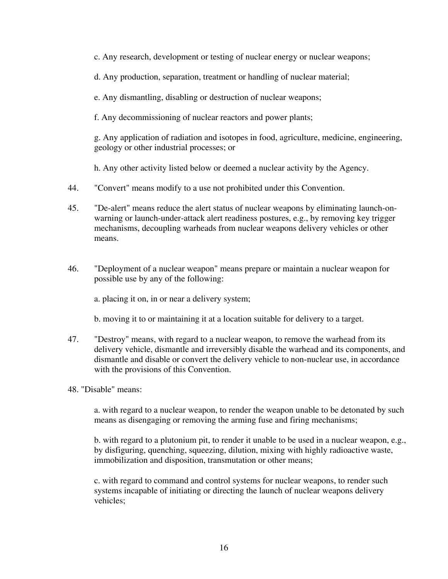c. Any research, development or testing of nuclear energy or nuclear weapons;

d. Any production, separation, treatment or handling of nuclear material;

e. Any dismantling, disabling or destruction of nuclear weapons;

f. Any decommissioning of nuclear reactors and power plants;

g. Any application of radiation and isotopes in food, agriculture, medicine, engineering, geology or other industrial processes; or

h. Any other activity listed below or deemed a nuclear activity by the Agency.

- 44. "Convert" means modify to a use not prohibited under this Convention.
- 45. "De-alert" means reduce the alert status of nuclear weapons by eliminating launch-onwarning or launch-under-attack alert readiness postures, e.g., by removing key trigger mechanisms, decoupling warheads from nuclear weapons delivery vehicles or other means.
- 46. "Deployment of a nuclear weapon" means prepare or maintain a nuclear weapon for possible use by any of the following:

a. placing it on, in or near a delivery system;

b. moving it to or maintaining it at a location suitable for delivery to a target.

- 47. "Destroy" means, with regard to a nuclear weapon, to remove the warhead from its delivery vehicle, dismantle and irreversibly disable the warhead and its components, and dismantle and disable or convert the delivery vehicle to non-nuclear use, in accordance with the provisions of this Convention.
- 48. "Disable" means:

a. with regard to a nuclear weapon, to render the weapon unable to be detonated by such means as disengaging or removing the arming fuse and firing mechanisms;

b. with regard to a plutonium pit, to render it unable to be used in a nuclear weapon, e.g., by disfiguring, quenching, squeezing, dilution, mixing with highly radioactive waste, immobilization and disposition, transmutation or other means;

c. with regard to command and control systems for nuclear weapons, to render such systems incapable of initiating or directing the launch of nuclear weapons delivery vehicles;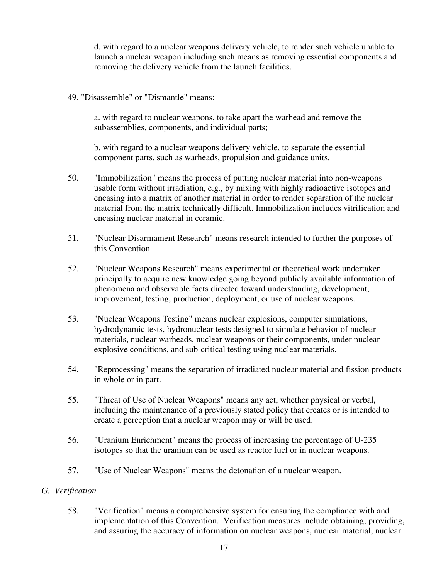d. with regard to a nuclear weapons delivery vehicle, to render such vehicle unable to launch a nuclear weapon including such means as removing essential components and removing the delivery vehicle from the launch facilities.

49. "Disassemble" or "Dismantle" means:

a. with regard to nuclear weapons, to take apart the warhead and remove the subassemblies, components, and individual parts;

b. with regard to a nuclear weapons delivery vehicle, to separate the essential component parts, such as warheads, propulsion and guidance units.

- 50. "Immobilization" means the process of putting nuclear material into non-weapons usable form without irradiation, e.g., by mixing with highly radioactive isotopes and encasing into a matrix of another material in order to render separation of the nuclear material from the matrix technically difficult. Immobilization includes vitrification and encasing nuclear material in ceramic.
- 51. "Nuclear Disarmament Research" means research intended to further the purposes of this Convention.
- 52. "Nuclear Weapons Research" means experimental or theoretical work undertaken principally to acquire new knowledge going beyond publicly available information of phenomena and observable facts directed toward understanding, development, improvement, testing, production, deployment, or use of nuclear weapons.
- 53. "Nuclear Weapons Testing" means nuclear explosions, computer simulations, hydrodynamic tests, hydronuclear tests designed to simulate behavior of nuclear materials, nuclear warheads, nuclear weapons or their components, under nuclear explosive conditions, and sub-critical testing using nuclear materials.
- 54. "Reprocessing" means the separation of irradiated nuclear material and fission products in whole or in part.
- 55. "Threat of Use of Nuclear Weapons" means any act, whether physical or verbal, including the maintenance of a previously stated policy that creates or is intended to create a perception that a nuclear weapon may or will be used.
- 56. "Uranium Enrichment" means the process of increasing the percentage of U-235 isotopes so that the uranium can be used as reactor fuel or in nuclear weapons.
- 57. "Use of Nuclear Weapons" means the detonation of a nuclear weapon.

#### *G. Verification*

58. "Verification" means a comprehensive system for ensuring the compliance with and implementation of this Convention. Verification measures include obtaining, providing, and assuring the accuracy of information on nuclear weapons, nuclear material, nuclear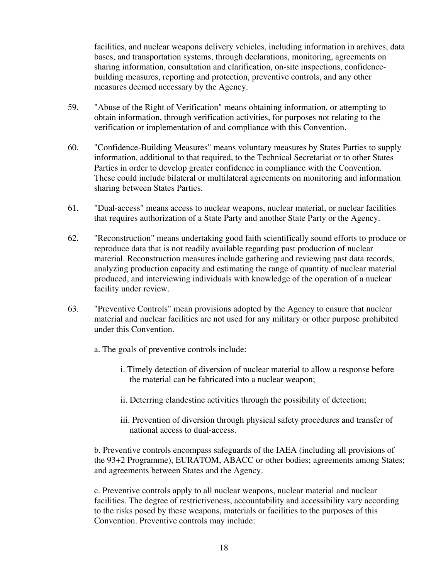facilities, and nuclear weapons delivery vehicles, including information in archives, data bases, and transportation systems, through declarations, monitoring, agreements on sharing information, consultation and clarification, on-site inspections, confidencebuilding measures, reporting and protection, preventive controls, and any other measures deemed necessary by the Agency.

- 59. "Abuse of the Right of Verification" means obtaining information, or attempting to obtain information, through verification activities, for purposes not relating to the verification or implementation of and compliance with this Convention.
- 60. "Confidence-Building Measures" means voluntary measures by States Parties to supply information, additional to that required, to the Technical Secretariat or to other States Parties in order to develop greater confidence in compliance with the Convention. These could include bilateral or multilateral agreements on monitoring and information sharing between States Parties.
- 61. "Dual-access" means access to nuclear weapons, nuclear material, or nuclear facilities that requires authorization of a State Party and another State Party or the Agency.
- 62. "Reconstruction" means undertaking good faith scientifically sound efforts to produce or reproduce data that is not readily available regarding past production of nuclear material. Reconstruction measures include gathering and reviewing past data records, analyzing production capacity and estimating the range of quantity of nuclear material produced, and interviewing individuals with knowledge of the operation of a nuclear facility under review.
- 63. "Preventive Controls" mean provisions adopted by the Agency to ensure that nuclear material and nuclear facilities are not used for any military or other purpose prohibited under this Convention.
	- a. The goals of preventive controls include:
		- i. Timely detection of diversion of nuclear material to allow a response before the material can be fabricated into a nuclear weapon;
		- ii. Deterring clandestine activities through the possibility of detection;
		- iii. Prevention of diversion through physical safety procedures and transfer of national access to dual-access.

b. Preventive controls encompass safeguards of the IAEA (including all provisions of the 93+2 Programme), EURATOM, ABACC or other bodies; agreements among States; and agreements between States and the Agency.

c. Preventive controls apply to all nuclear weapons, nuclear material and nuclear facilities. The degree of restrictiveness, accountability and accessibility vary according to the risks posed by these weapons, materials or facilities to the purposes of this Convention. Preventive controls may include: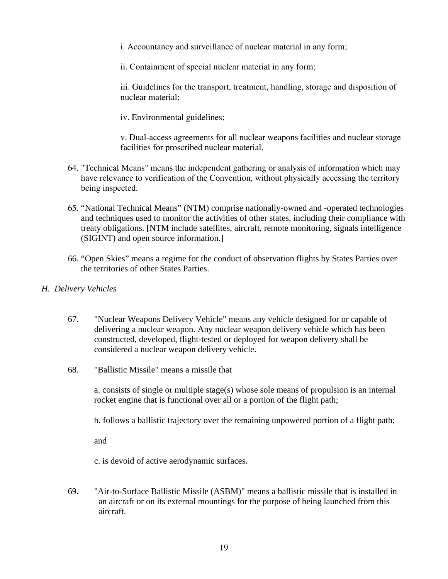i. Accountancy and surveillance of nuclear material in any form;

ii. Containment of special nuclear material in any form;

iii. Guidelines for the transport, treatment, handling, storage and disposition of nuclear material;

iv. Environmental guidelines;

v. Dual-access agreements for all nuclear weapons facilities and nuclear storage facilities for proscribed nuclear material.

- 64. "Technical Means" means the independent gathering or analysis of information which may have relevance to verification of the Convention, without physically accessing the territory being inspected.
- 65. "National Technical Means" (NTM) comprise nationally-owned and -operated technologies and techniques used to monitor the activities of other states, including their compliance with treaty obligations. [NTM include satellites, aircraft, remote monitoring, signals intelligence (SIGINT) and open source information.]
- 66. "Open Skies" means a regime for the conduct of observation flights by States Parties over the territories of other States Parties.
- *H. Delivery Vehicles* 
	- 67. "Nuclear Weapons Delivery Vehicle" means any vehicle designed for or capable of delivering a nuclear weapon. Any nuclear weapon delivery vehicle which has been constructed, developed, flight-tested or deployed for weapon delivery shall be considered a nuclear weapon delivery vehicle.
	- 68. "Ballistic Missile" means a missile that

a. consists of single or multiple stage(s) whose sole means of propulsion is an internal rocket engine that is functional over all or a portion of the flight path;

b. follows a ballistic trajectory over the remaining unpowered portion of a flight path;

and

c. is devoid of active aerodynamic surfaces.

69. "Air-to-Surface Ballistic Missile (ASBM)" means a ballistic missile that is installed in an aircraft or on its external mountings for the purpose of being launched from this aircraft.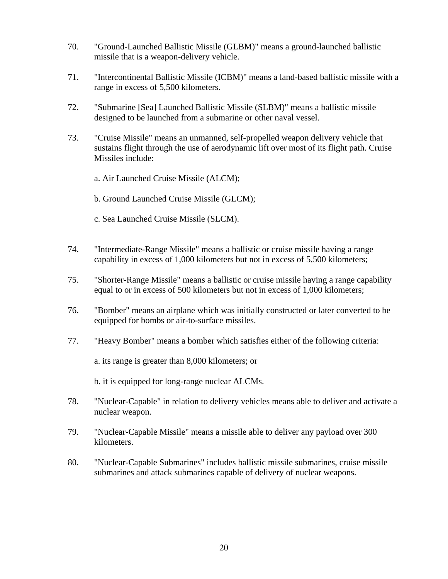- 70. "Ground-Launched Ballistic Missile (GLBM)" means a ground-launched ballistic missile that is a weapon-delivery vehicle.
- 71. "Intercontinental Ballistic Missile (ICBM)" means a land-based ballistic missile with a range in excess of 5,500 kilometers.
- 72. "Submarine [Sea] Launched Ballistic Missile (SLBM)" means a ballistic missile designed to be launched from a submarine or other naval vessel.
- 73. "Cruise Missile" means an unmanned, self-propelled weapon delivery vehicle that sustains flight through the use of aerodynamic lift over most of its flight path. Cruise Missiles include:
	- a. Air Launched Cruise Missile (ALCM);
	- b. Ground Launched Cruise Missile (GLCM);
	- c. Sea Launched Cruise Missile (SLCM).
- 74. "Intermediate-Range Missile" means a ballistic or cruise missile having a range capability in excess of 1,000 kilometers but not in excess of 5,500 kilometers;
- 75. "Shorter-Range Missile" means a ballistic or cruise missile having a range capability equal to or in excess of 500 kilometers but not in excess of 1,000 kilometers;
- 76. "Bomber" means an airplane which was initially constructed or later converted to be equipped for bombs or air-to-surface missiles.
- 77. "Heavy Bomber" means a bomber which satisfies either of the following criteria:

a. its range is greater than 8,000 kilometers; or

b. it is equipped for long-range nuclear ALCMs.

- 78. "Nuclear-Capable" in relation to delivery vehicles means able to deliver and activate a nuclear weapon.
- 79. "Nuclear-Capable Missile" means a missile able to deliver any payload over 300 kilometers.
- 80. "Nuclear-Capable Submarines" includes ballistic missile submarines, cruise missile submarines and attack submarines capable of delivery of nuclear weapons.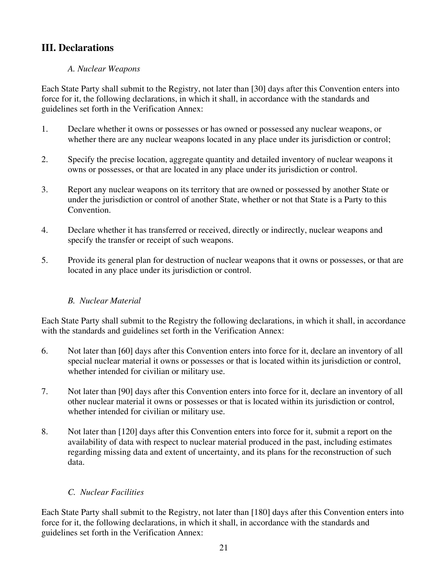## **III. Declarations**

#### *A. Nuclear Weapons*

Each State Party shall submit to the Registry, not later than [30] days after this Convention enters into force for it, the following declarations, in which it shall, in accordance with the standards and guidelines set forth in the Verification Annex:

- 1. Declare whether it owns or possesses or has owned or possessed any nuclear weapons, or whether there are any nuclear weapons located in any place under its jurisdiction or control;
- 2. Specify the precise location, aggregate quantity and detailed inventory of nuclear weapons it owns or possesses, or that are located in any place under its jurisdiction or control.
- 3. Report any nuclear weapons on its territory that are owned or possessed by another State or under the jurisdiction or control of another State, whether or not that State is a Party to this Convention.
- 4. Declare whether it has transferred or received, directly or indirectly, nuclear weapons and specify the transfer or receipt of such weapons.
- 5. Provide its general plan for destruction of nuclear weapons that it owns or possesses, or that are located in any place under its jurisdiction or control.

#### *B. Nuclear Material*

Each State Party shall submit to the Registry the following declarations, in which it shall, in accordance with the standards and guidelines set forth in the Verification Annex:

- 6. Not later than [60] days after this Convention enters into force for it, declare an inventory of all special nuclear material it owns or possesses or that is located within its jurisdiction or control, whether intended for civilian or military use.
- 7. Not later than [90] days after this Convention enters into force for it, declare an inventory of all other nuclear material it owns or possesses or that is located within its jurisdiction or control, whether intended for civilian or military use.
- 8. Not later than [120] days after this Convention enters into force for it, submit a report on the availability of data with respect to nuclear material produced in the past, including estimates regarding missing data and extent of uncertainty, and its plans for the reconstruction of such data.

#### *C. Nuclear Facilities*

Each State Party shall submit to the Registry, not later than [180] days after this Convention enters into force for it, the following declarations, in which it shall, in accordance with the standards and guidelines set forth in the Verification Annex: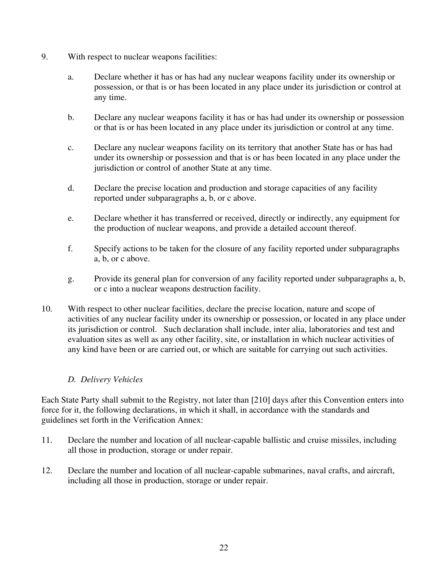- 9. With respect to nuclear weapons facilities:
	- a. Declare whether it has or has had any nuclear weapons facility under its ownership or possession, or that is or has been located in any place under its jurisdiction or control at any time.
	- b. Declare any nuclear weapons facility it has or has had under its ownership or possession or that is or has been located in any place under its jurisdiction or control at any time.
	- c. Declare any nuclear weapons facility on its territory that another State has or has had under its ownership or possession and that is or has been located in any place under the jurisdiction or control of another State at any time.
	- d. Declare the precise location and production and storage capacities of any facility reported under subparagraphs a, b, or c above.
	- e. Declare whether it has transferred or received, directly or indirectly, any equipment for the production of nuclear weapons, and provide a detailed account thereof.
	- f. Specify actions to be taken for the closure of any facility reported under subparagraphs a, b, or c above.
	- g. Provide its general plan for conversion of any facility reported under subparagraphs a, b, or c into a nuclear weapons destruction facility.
- 10. With respect to other nuclear facilities, declare the precise location, nature and scope of activities of any nuclear facility under its ownership or possession, or located in any place under its jurisdiction or control. Such declaration shall include, inter alia, laboratories and test and evaluation sites as well as any other facility, site, or installation in which nuclear activities of any kind have been or are carried out, or which are suitable for carrying out such activities.

#### *D. Delivery Vehicles*

Each State Party shall submit to the Registry, not later than [210] days after this Convention enters into force for it, the following declarations, in which it shall, in accordance with the standards and guidelines set forth in the Verification Annex:

- 11. Declare the number and location of all nuclear-capable ballistic and cruise missiles, including all those in production, storage or under repair.
- 12. Declare the number and location of all nuclear-capable submarines, naval crafts, and aircraft, including all those in production, storage or under repair.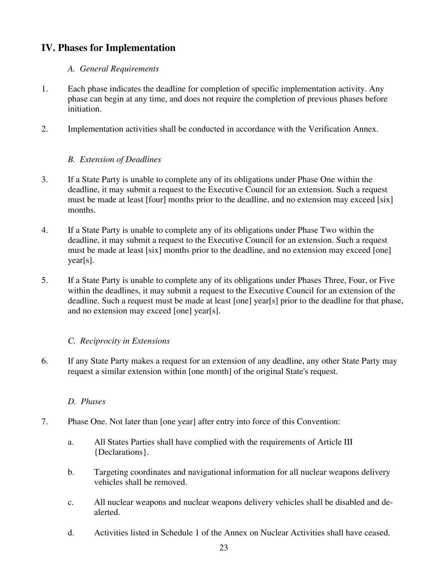## **IV. Phases for Implementation**

#### *A. General Requirements*

- 1. Each phase indicates the deadline for completion of specific implementation activity. Any phase can begin at any time, and does not require the completion of previous phases before initiation.
- 2. Implementation activities shall be conducted in accordance with the Verification Annex.

#### *B. Extension of Deadlines*

- 3. If a State Party is unable to complete any of its obligations under Phase One within the deadline, it may submit a request to the Executive Council for an extension. Such a request must be made at least [four] months prior to the deadline, and no extension may exceed [six] months.
- 4. If a State Party is unable to complete any of its obligations under Phase Two within the deadline, it may submit a request to the Executive Council for an extension. Such a request must be made at least [six] months prior to the deadline, and no extension may exceed [one] year[s].
- 5. If a State Party is unable to complete any of its obligations under Phases Three, Four, or Five within the deadlines, it may submit a request to the Executive Council for an extension of the deadline. Such a request must be made at least [one] year[s] prior to the deadline for that phase, and no extension may exceed [one] year[s].

#### *C. Reciprocity in Extensions*

6. If any State Party makes a request for an extension of any deadline, any other State Party may request a similar extension within [one month] of the original State's request.

#### *D. Phases*

- 7. Phase One. Not later than [one year] after entry into force of this Convention:
	- a. All States Parties shall have complied with the requirements of Article III {Declarations}.
	- b. Targeting coordinates and navigational information for all nuclear weapons delivery vehicles shall be removed.
	- c. All nuclear weapons and nuclear weapons delivery vehicles shall be disabled and dealerted.
	- d. Activities listed in Schedule 1 of the Annex on Nuclear Activities shall have ceased.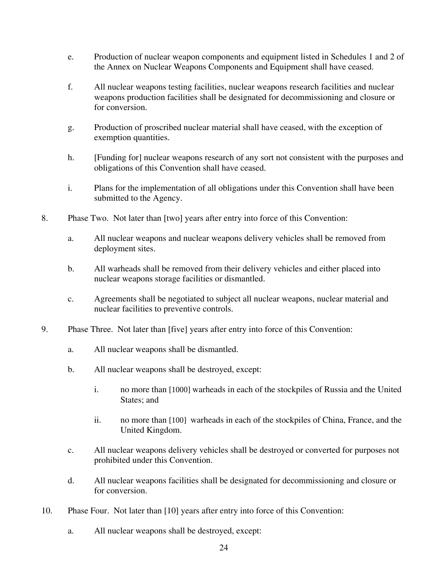- e. Production of nuclear weapon components and equipment listed in Schedules 1 and 2 of the Annex on Nuclear Weapons Components and Equipment shall have ceased.
- f. All nuclear weapons testing facilities, nuclear weapons research facilities and nuclear weapons production facilities shall be designated for decommissioning and closure or for conversion.
- g. Production of proscribed nuclear material shall have ceased, with the exception of exemption quantities.
- h. [Funding for] nuclear weapons research of any sort not consistent with the purposes and obligations of this Convention shall have ceased.
- i. Plans for the implementation of all obligations under this Convention shall have been submitted to the Agency.
- 8. Phase Two. Not later than [two] years after entry into force of this Convention:
	- a. All nuclear weapons and nuclear weapons delivery vehicles shall be removed from deployment sites.
	- b. All warheads shall be removed from their delivery vehicles and either placed into nuclear weapons storage facilities or dismantled.
	- c. Agreements shall be negotiated to subject all nuclear weapons, nuclear material and nuclear facilities to preventive controls.
- 9. Phase Three. Not later than [five] years after entry into force of this Convention:
	- a. All nuclear weapons shall be dismantled.
	- b. All nuclear weapons shall be destroyed, except:
		- i. no more than [1000] warheads in each of the stockpiles of Russia and the United States: and
		- ii. no more than [100] warheads in each of the stockpiles of China, France, and the United Kingdom.
	- c. All nuclear weapons delivery vehicles shall be destroyed or converted for purposes not prohibited under this Convention.
	- d. All nuclear weapons facilities shall be designated for decommissioning and closure or for conversion.
- 10. Phase Four. Not later than [10] years after entry into force of this Convention:
	- a. All nuclear weapons shall be destroyed, except: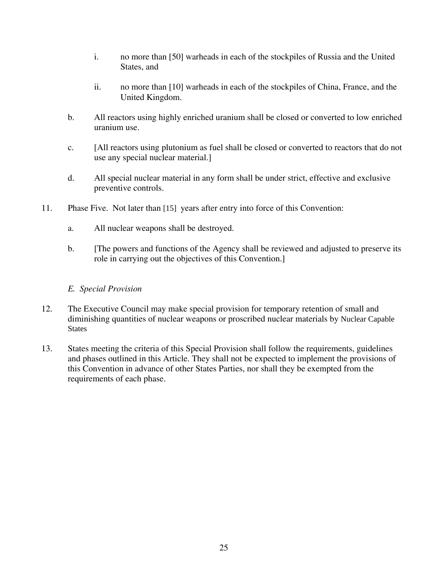- i. no more than [50] warheads in each of the stockpiles of Russia and the United States, and
- ii. no more than [10] warheads in each of the stockpiles of China, France, and the United Kingdom.
- b. All reactors using highly enriched uranium shall be closed or converted to low enriched uranium use.
- c. [All reactors using plutonium as fuel shall be closed or converted to reactors that do not use any special nuclear material.]
- d. All special nuclear material in any form shall be under strict, effective and exclusive preventive controls.
- 11. Phase Five. Not later than [15] years after entry into force of this Convention:
	- a. All nuclear weapons shall be destroyed.
	- b. [The powers and functions of the Agency shall be reviewed and adjusted to preserve its role in carrying out the objectives of this Convention.]

#### *E. Special Provision*

- 12. The Executive Council may make special provision for temporary retention of small and diminishing quantities of nuclear weapons or proscribed nuclear materials by Nuclear Capable **States**
- 13. States meeting the criteria of this Special Provision shall follow the requirements, guidelines and phases outlined in this Article. They shall not be expected to implement the provisions of this Convention in advance of other States Parties, nor shall they be exempted from the requirements of each phase.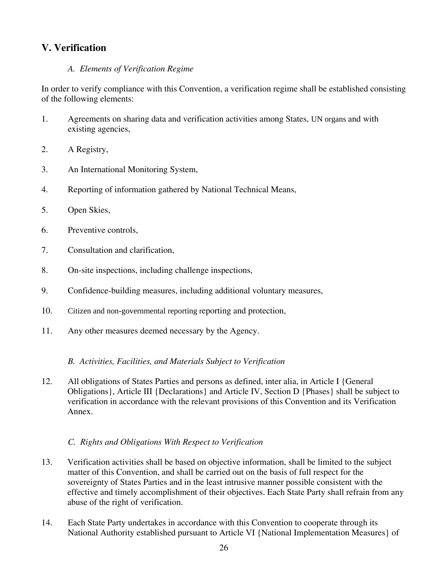### **V. Verification**

#### *A. Elements of Verification Regime*

In order to verify compliance with this Convention, a verification regime shall be established consisting of the following elements:

- 1. Agreements on sharing data and verification activities among States, UN organs and with existing agencies,
- 2. A Registry,
- 3. An International Monitoring System,
- 4. Reporting of information gathered by National Technical Means,
- 5. Open Skies,
- 6. Preventive controls,
- 7. Consultation and clarification,
- 8. On-site inspections, including challenge inspections,
- 9. Confidence-building measures, including additional voluntary measures,
- 10. Citizen and non-governmental reporting reporting and protection,
- 11. Any other measures deemed necessary by the Agency.

#### *B. Activities, Facilities, and Materials Subject to Verification*

12. All obligations of States Parties and persons as defined, inter alia, in Article I {General Obligations}, Article III {Declarations} and Article IV, Section D {Phases} shall be subject to verification in accordance with the relevant provisions of this Convention and its Verification Annex.

#### *C. Rights and Obligations With Respect to Verification*

- 13. Verification activities shall be based on objective information, shall be limited to the subject matter of this Convention, and shall be carried out on the basis of full respect for the sovereignty of States Parties and in the least intrusive manner possible consistent with the effective and timely accomplishment of their objectives. Each State Party shall refrain from any abuse of the right of verification.
- 14. Each State Party undertakes in accordance with this Convention to cooperate through its National Authority established pursuant to Article VI {National Implementation Measures} of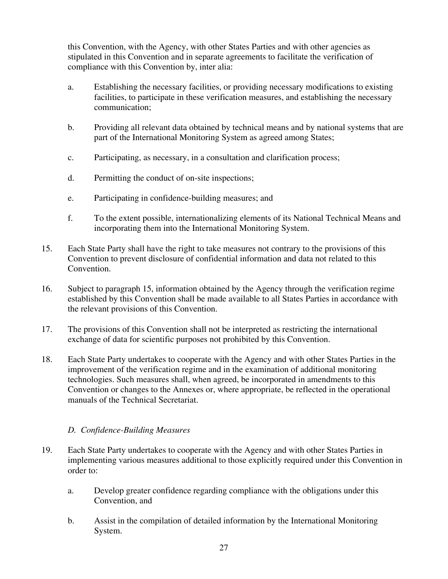this Convention, with the Agency, with other States Parties and with other agencies as stipulated in this Convention and in separate agreements to facilitate the verification of compliance with this Convention by, inter alia:

- a. Establishing the necessary facilities, or providing necessary modifications to existing facilities, to participate in these verification measures, and establishing the necessary communication;
- b. Providing all relevant data obtained by technical means and by national systems that are part of the International Monitoring System as agreed among States;
- c. Participating, as necessary, in a consultation and clarification process;
- d. Permitting the conduct of on-site inspections;
- e. Participating in confidence-building measures; and
- f. To the extent possible, internationalizing elements of its National Technical Means and incorporating them into the International Monitoring System.
- 15. Each State Party shall have the right to take measures not contrary to the provisions of this Convention to prevent disclosure of confidential information and data not related to this Convention.
- 16. Subject to paragraph 15, information obtained by the Agency through the verification regime established by this Convention shall be made available to all States Parties in accordance with the relevant provisions of this Convention.
- 17. The provisions of this Convention shall not be interpreted as restricting the international exchange of data for scientific purposes not prohibited by this Convention.
- 18. Each State Party undertakes to cooperate with the Agency and with other States Parties in the improvement of the verification regime and in the examination of additional monitoring technologies. Such measures shall, when agreed, be incorporated in amendments to this Convention or changes to the Annexes or, where appropriate, be reflected in the operational manuals of the Technical Secretariat.

#### *D. Confidence-Building Measures*

- 19. Each State Party undertakes to cooperate with the Agency and with other States Parties in implementing various measures additional to those explicitly required under this Convention in order to:
	- a. Develop greater confidence regarding compliance with the obligations under this Convention, and
	- b. Assist in the compilation of detailed information by the International Monitoring System.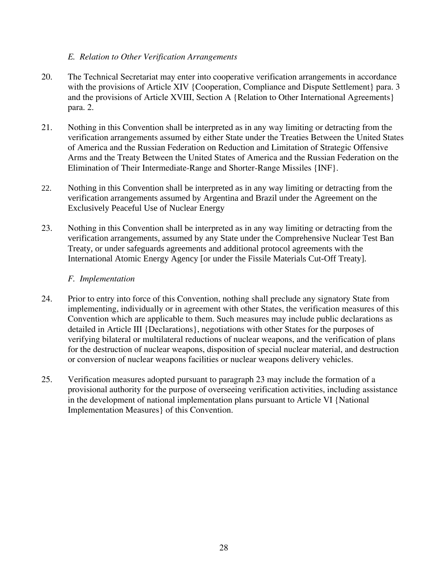#### *E. Relation to Other Verification Arrangements*

- 20. The Technical Secretariat may enter into cooperative verification arrangements in accordance with the provisions of Article XIV {Cooperation, Compliance and Dispute Settlement} para. 3 and the provisions of Article XVIII, Section A {Relation to Other International Agreements} para. 2.
- 21. Nothing in this Convention shall be interpreted as in any way limiting or detracting from the verification arrangements assumed by either State under the Treaties Between the United States of America and the Russian Federation on Reduction and Limitation of Strategic Offensive Arms and the Treaty Between the United States of America and the Russian Federation on the Elimination of Their Intermediate-Range and Shorter-Range Missiles {INF}.
- 22. Nothing in this Convention shall be interpreted as in any way limiting or detracting from the verification arrangements assumed by Argentina and Brazil under the Agreement on the Exclusively Peaceful Use of Nuclear Energy
- 23. Nothing in this Convention shall be interpreted as in any way limiting or detracting from the verification arrangements, assumed by any State under the Comprehensive Nuclear Test Ban Treaty, or under safeguards agreements and additional protocol agreements with the International Atomic Energy Agency [or under the Fissile Materials Cut-Off Treaty].

#### *F. Implementation*

- 24. Prior to entry into force of this Convention, nothing shall preclude any signatory State from implementing, individually or in agreement with other States, the verification measures of this Convention which are applicable to them. Such measures may include public declarations as detailed in Article III {Declarations}, negotiations with other States for the purposes of verifying bilateral or multilateral reductions of nuclear weapons, and the verification of plans for the destruction of nuclear weapons, disposition of special nuclear material, and destruction or conversion of nuclear weapons facilities or nuclear weapons delivery vehicles.
- 25. Verification measures adopted pursuant to paragraph 23 may include the formation of a provisional authority for the purpose of overseeing verification activities, including assistance in the development of national implementation plans pursuant to Article VI {National Implementation Measures} of this Convention.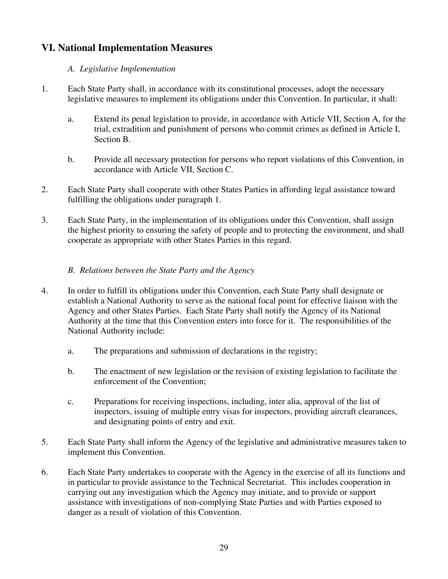## **VI. National Implementation Measures**

#### *A. Legislative Implementation*

- 1. Each State Party shall, in accordance with its constitutional processes, adopt the necessary legislative measures to implement its obligations under this Convention. In particular, it shall:
	- a. Extend its penal legislation to provide, in accordance with Article VII, Section A, for the trial, extradition and punishment of persons who commit crimes as defined in Article I, Section B.
	- b. Provide all necessary protection for persons who report violations of this Convention, in accordance with Article VII, Section C.
- 2. Each State Party shall cooperate with other States Parties in affording legal assistance toward fulfilling the obligations under paragraph 1.
- 3. Each State Party, in the implementation of its obligations under this Convention, shall assign the highest priority to ensuring the safety of people and to protecting the environment, and shall cooperate as appropriate with other States Parties in this regard.

#### *B. Relations between the State Party and the Agency*

- 4. In order to fulfill its obligations under this Convention, each State Party shall designate or establish a National Authority to serve as the national focal point for effective liaison with the Agency and other States Parties. Each State Party shall notify the Agency of its National Authority at the time that this Convention enters into force for it. The responsibilities of the National Authority include:
	- a. The preparations and submission of declarations in the registry;
	- b. The enactment of new legislation or the revision of existing legislation to facilitate the enforcement of the Convention;
	- c. Preparations for receiving inspections, including, inter alia, approval of the list of inspectors, issuing of multiple entry visas for inspectors, providing aircraft clearances, and designating points of entry and exit.
- 5. Each State Party shall inform the Agency of the legislative and administrative measures taken to implement this Convention.
- 6. Each State Party undertakes to cooperate with the Agency in the exercise of all its functions and in particular to provide assistance to the Technical Secretariat. This includes cooperation in carrying out any investigation which the Agency may initiate, and to provide or support assistance with investigations of non-complying State Parties and with Parties exposed to danger as a result of violation of this Convention.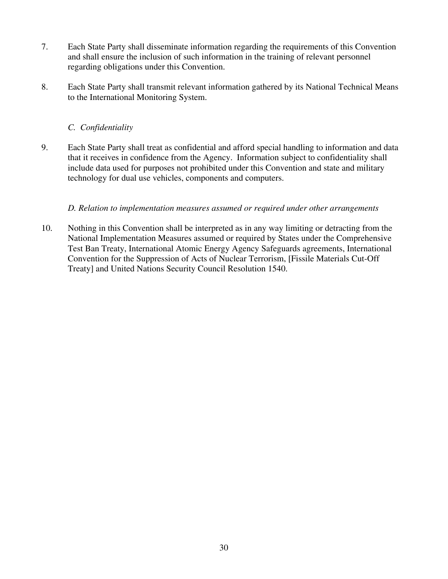- 7. Each State Party shall disseminate information regarding the requirements of this Convention and shall ensure the inclusion of such information in the training of relevant personnel regarding obligations under this Convention.
- 8. Each State Party shall transmit relevant information gathered by its National Technical Means to the International Monitoring System.

#### *C. Confidentiality*

9. Each State Party shall treat as confidential and afford special handling to information and data that it receives in confidence from the Agency. Information subject to confidentiality shall include data used for purposes not prohibited under this Convention and state and military technology for dual use vehicles, components and computers.

#### *D. Relation to implementation measures assumed or required under other arrangements*

10. Nothing in this Convention shall be interpreted as in any way limiting or detracting from the National Implementation Measures assumed or required by States under the Comprehensive Test Ban Treaty, International Atomic Energy Agency Safeguards agreements, International Convention for the Suppression of Acts of Nuclear Terrorism, [Fissile Materials Cut-Off Treaty] and United Nations Security Council Resolution 1540.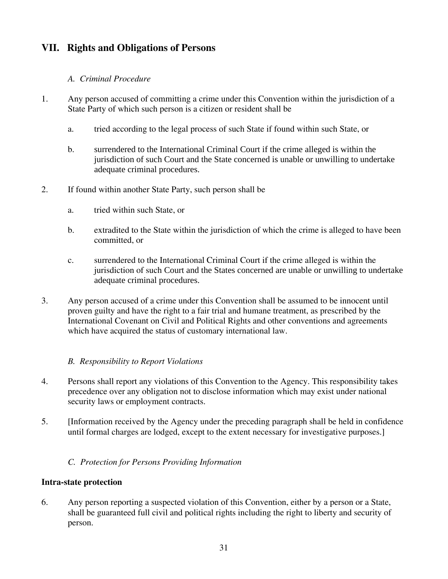### **VII. Rights and Obligations of Persons**

#### *A. Criminal Procedure*

- 1. Any person accused of committing a crime under this Convention within the jurisdiction of a State Party of which such person is a citizen or resident shall be
	- a. tried according to the legal process of such State if found within such State, or
	- b. surrendered to the International Criminal Court if the crime alleged is within the jurisdiction of such Court and the State concerned is unable or unwilling to undertake adequate criminal procedures.
- 2. If found within another State Party, such person shall be
	- a. tried within such State, or
	- b. extradited to the State within the jurisdiction of which the crime is alleged to have been committed, or
	- c. surrendered to the International Criminal Court if the crime alleged is within the jurisdiction of such Court and the States concerned are unable or unwilling to undertake adequate criminal procedures.
- 3. Any person accused of a crime under this Convention shall be assumed to be innocent until proven guilty and have the right to a fair trial and humane treatment, as prescribed by the International Covenant on Civil and Political Rights and other conventions and agreements which have acquired the status of customary international law.

#### *B. Responsibility to Report Violations*

- 4. Persons shall report any violations of this Convention to the Agency. This responsibility takes precedence over any obligation not to disclose information which may exist under national security laws or employment contracts.
- 5. [Information received by the Agency under the preceding paragraph shall be held in confidence until formal charges are lodged, except to the extent necessary for investigative purposes.]

#### *C. Protection for Persons Providing Information*

#### **Intra-state protection**

6. Any person reporting a suspected violation of this Convention, either by a person or a State, shall be guaranteed full civil and political rights including the right to liberty and security of person.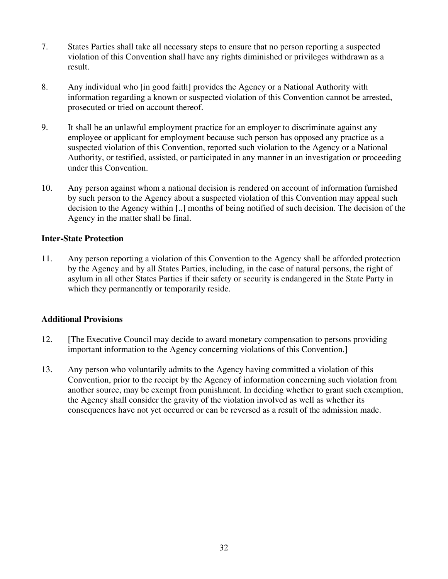- 7. States Parties shall take all necessary steps to ensure that no person reporting a suspected violation of this Convention shall have any rights diminished or privileges withdrawn as a result.
- 8. Any individual who [in good faith] provides the Agency or a National Authority with information regarding a known or suspected violation of this Convention cannot be arrested, prosecuted or tried on account thereof.
- 9. It shall be an unlawful employment practice for an employer to discriminate against any employee or applicant for employment because such person has opposed any practice as a suspected violation of this Convention, reported such violation to the Agency or a National Authority, or testified, assisted, or participated in any manner in an investigation or proceeding under this Convention.
- 10. Any person against whom a national decision is rendered on account of information furnished by such person to the Agency about a suspected violation of this Convention may appeal such decision to the Agency within [..] months of being notified of such decision. The decision of the Agency in the matter shall be final.

#### **Inter-State Protection**

11. Any person reporting a violation of this Convention to the Agency shall be afforded protection by the Agency and by all States Parties, including, in the case of natural persons, the right of asylum in all other States Parties if their safety or security is endangered in the State Party in which they permanently or temporarily reside.

#### **Additional Provisions**

- 12. [The Executive Council may decide to award monetary compensation to persons providing important information to the Agency concerning violations of this Convention.]
- 13. Any person who voluntarily admits to the Agency having committed a violation of this Convention, prior to the receipt by the Agency of information concerning such violation from another source, may be exempt from punishment. In deciding whether to grant such exemption, the Agency shall consider the gravity of the violation involved as well as whether its consequences have not yet occurred or can be reversed as a result of the admission made.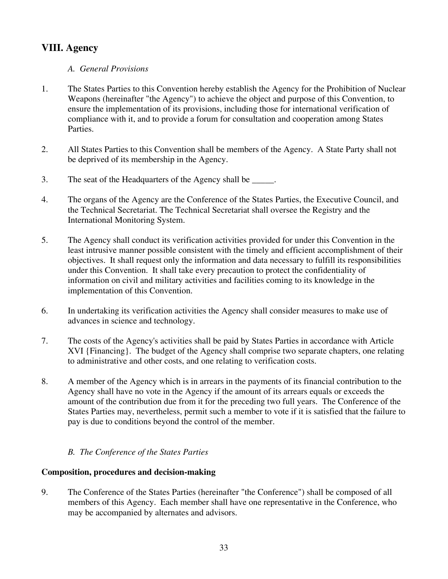## **VIII. Agency**

#### *A. General Provisions*

- 1. The States Parties to this Convention hereby establish the Agency for the Prohibition of Nuclear Weapons (hereinafter "the Agency") to achieve the object and purpose of this Convention, to ensure the implementation of its provisions, including those for international verification of compliance with it, and to provide a forum for consultation and cooperation among States Parties.
- 2. All States Parties to this Convention shall be members of the Agency. A State Party shall not be deprived of its membership in the Agency.
- 3. The seat of the Headquarters of the Agency shall be \_\_\_\_\_.
- 4. The organs of the Agency are the Conference of the States Parties, the Executive Council, and the Technical Secretariat. The Technical Secretariat shall oversee the Registry and the International Monitoring System.
- 5. The Agency shall conduct its verification activities provided for under this Convention in the least intrusive manner possible consistent with the timely and efficient accomplishment of their objectives. It shall request only the information and data necessary to fulfill its responsibilities under this Convention. It shall take every precaution to protect the confidentiality of information on civil and military activities and facilities coming to its knowledge in the implementation of this Convention.
- 6. In undertaking its verification activities the Agency shall consider measures to make use of advances in science and technology.
- 7. The costs of the Agency's activities shall be paid by States Parties in accordance with Article XVI {Financing}. The budget of the Agency shall comprise two separate chapters, one relating to administrative and other costs, and one relating to verification costs.
- 8. A member of the Agency which is in arrears in the payments of its financial contribution to the Agency shall have no vote in the Agency if the amount of its arrears equals or exceeds the amount of the contribution due from it for the preceding two full years. The Conference of the States Parties may, nevertheless, permit such a member to vote if it is satisfied that the failure to pay is due to conditions beyond the control of the member.

#### *B. The Conference of the States Parties*

#### **Composition, procedures and decision-making**

9. The Conference of the States Parties (hereinafter "the Conference") shall be composed of all members of this Agency. Each member shall have one representative in the Conference, who may be accompanied by alternates and advisors.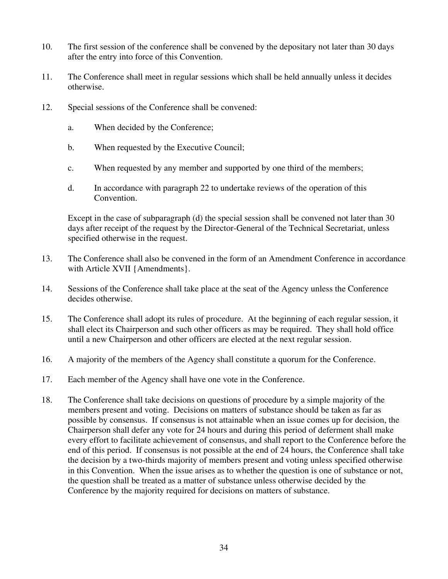- 10. The first session of the conference shall be convened by the depositary not later than 30 days after the entry into force of this Convention.
- 11. The Conference shall meet in regular sessions which shall be held annually unless it decides otherwise.
- 12. Special sessions of the Conference shall be convened:
	- a. When decided by the Conference;
	- b. When requested by the Executive Council;
	- c. When requested by any member and supported by one third of the members;
	- d. In accordance with paragraph 22 to undertake reviews of the operation of this Convention.

Except in the case of subparagraph (d) the special session shall be convened not later than 30 days after receipt of the request by the Director-General of the Technical Secretariat, unless specified otherwise in the request.

- 13. The Conference shall also be convened in the form of an Amendment Conference in accordance with Article XVII {Amendments}.
- 14. Sessions of the Conference shall take place at the seat of the Agency unless the Conference decides otherwise.
- 15. The Conference shall adopt its rules of procedure. At the beginning of each regular session, it shall elect its Chairperson and such other officers as may be required. They shall hold office until a new Chairperson and other officers are elected at the next regular session.
- 16. A majority of the members of the Agency shall constitute a quorum for the Conference.
- 17. Each member of the Agency shall have one vote in the Conference.
- 18. The Conference shall take decisions on questions of procedure by a simple majority of the members present and voting. Decisions on matters of substance should be taken as far as possible by consensus. If consensus is not attainable when an issue comes up for decision, the Chairperson shall defer any vote for 24 hours and during this period of deferment shall make every effort to facilitate achievement of consensus, and shall report to the Conference before the end of this period. If consensus is not possible at the end of 24 hours, the Conference shall take the decision by a two-thirds majority of members present and voting unless specified otherwise in this Convention. When the issue arises as to whether the question is one of substance or not, the question shall be treated as a matter of substance unless otherwise decided by the Conference by the majority required for decisions on matters of substance.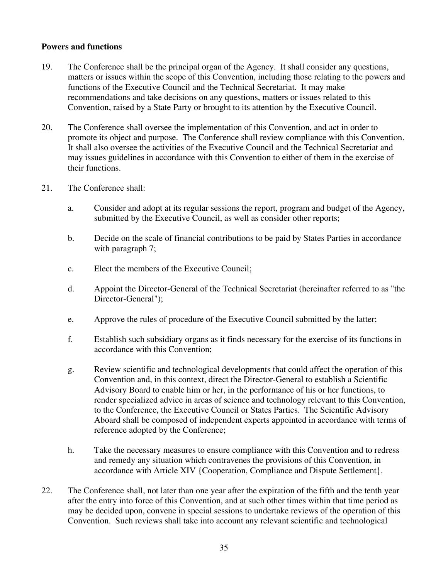#### **Powers and functions**

- 19. The Conference shall be the principal organ of the Agency. It shall consider any questions, matters or issues within the scope of this Convention, including those relating to the powers and functions of the Executive Council and the Technical Secretariat. It may make recommendations and take decisions on any questions, matters or issues related to this Convention, raised by a State Party or brought to its attention by the Executive Council.
- 20. The Conference shall oversee the implementation of this Convention, and act in order to promote its object and purpose. The Conference shall review compliance with this Convention. It shall also oversee the activities of the Executive Council and the Technical Secretariat and may issues guidelines in accordance with this Convention to either of them in the exercise of their functions.
- 21. The Conference shall:
	- a. Consider and adopt at its regular sessions the report, program and budget of the Agency, submitted by the Executive Council, as well as consider other reports;
	- b. Decide on the scale of financial contributions to be paid by States Parties in accordance with paragraph 7;
	- c. Elect the members of the Executive Council;
	- d. Appoint the Director-General of the Technical Secretariat (hereinafter referred to as "the Director-General");
	- e. Approve the rules of procedure of the Executive Council submitted by the latter;
	- f. Establish such subsidiary organs as it finds necessary for the exercise of its functions in accordance with this Convention;
	- g. Review scientific and technological developments that could affect the operation of this Convention and, in this context, direct the Director-General to establish a Scientific Advisory Board to enable him or her, in the performance of his or her functions, to render specialized advice in areas of science and technology relevant to this Convention, to the Conference, the Executive Council or States Parties. The Scientific Advisory Aboard shall be composed of independent experts appointed in accordance with terms of reference adopted by the Conference;
	- h. Take the necessary measures to ensure compliance with this Convention and to redress and remedy any situation which contravenes the provisions of this Convention, in accordance with Article XIV {Cooperation, Compliance and Dispute Settlement}.
- 22. The Conference shall, not later than one year after the expiration of the fifth and the tenth year after the entry into force of this Convention, and at such other times within that time period as may be decided upon, convene in special sessions to undertake reviews of the operation of this Convention. Such reviews shall take into account any relevant scientific and technological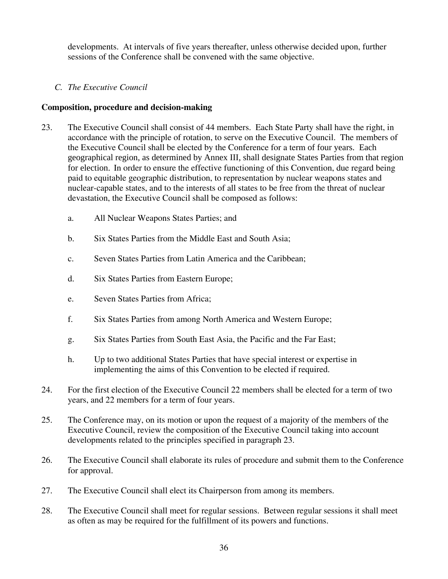developments. At intervals of five years thereafter, unless otherwise decided upon, further sessions of the Conference shall be convened with the same objective.

#### *C. The Executive Council*

#### **Composition, procedure and decision-making**

- 23. The Executive Council shall consist of 44 members. Each State Party shall have the right, in accordance with the principle of rotation, to serve on the Executive Council. The members of the Executive Council shall be elected by the Conference for a term of four years. Each geographical region, as determined by Annex III, shall designate States Parties from that region for election. In order to ensure the effective functioning of this Convention, due regard being paid to equitable geographic distribution, to representation by nuclear weapons states and nuclear-capable states, and to the interests of all states to be free from the threat of nuclear devastation, the Executive Council shall be composed as follows:
	- a. All Nuclear Weapons States Parties; and
	- b. Six States Parties from the Middle East and South Asia;
	- c. Seven States Parties from Latin America and the Caribbean;
	- d. Six States Parties from Eastern Europe;
	- e. Seven States Parties from Africa;
	- f. Six States Parties from among North America and Western Europe;
	- g. Six States Parties from South East Asia, the Pacific and the Far East;
	- h. Up to two additional States Parties that have special interest or expertise in implementing the aims of this Convention to be elected if required.
- 24. For the first election of the Executive Council 22 members shall be elected for a term of two years, and 22 members for a term of four years.
- 25. The Conference may, on its motion or upon the request of a majority of the members of the Executive Council, review the composition of the Executive Council taking into account developments related to the principles specified in paragraph 23.
- 26. The Executive Council shall elaborate its rules of procedure and submit them to the Conference for approval.
- 27. The Executive Council shall elect its Chairperson from among its members.
- 28. The Executive Council shall meet for regular sessions. Between regular sessions it shall meet as often as may be required for the fulfillment of its powers and functions.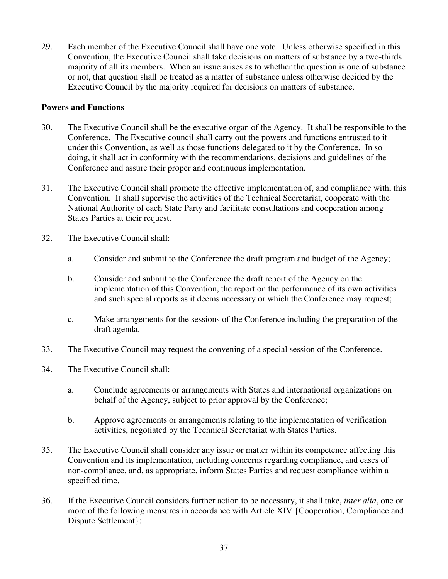29. Each member of the Executive Council shall have one vote. Unless otherwise specified in this Convention, the Executive Council shall take decisions on matters of substance by a two-thirds majority of all its members. When an issue arises as to whether the question is one of substance or not, that question shall be treated as a matter of substance unless otherwise decided by the Executive Council by the majority required for decisions on matters of substance.

#### **Powers and Functions**

- 30. The Executive Council shall be the executive organ of the Agency. It shall be responsible to the Conference. The Executive council shall carry out the powers and functions entrusted to it under this Convention, as well as those functions delegated to it by the Conference. In so doing, it shall act in conformity with the recommendations, decisions and guidelines of the Conference and assure their proper and continuous implementation.
- 31. The Executive Council shall promote the effective implementation of, and compliance with, this Convention. It shall supervise the activities of the Technical Secretariat, cooperate with the National Authority of each State Party and facilitate consultations and cooperation among States Parties at their request.
- 32. The Executive Council shall:
	- a. Consider and submit to the Conference the draft program and budget of the Agency;
	- b. Consider and submit to the Conference the draft report of the Agency on the implementation of this Convention, the report on the performance of its own activities and such special reports as it deems necessary or which the Conference may request;
	- c. Make arrangements for the sessions of the Conference including the preparation of the draft agenda.
- 33. The Executive Council may request the convening of a special session of the Conference.
- 34. The Executive Council shall:
	- a. Conclude agreements or arrangements with States and international organizations on behalf of the Agency, subject to prior approval by the Conference;
	- b. Approve agreements or arrangements relating to the implementation of verification activities, negotiated by the Technical Secretariat with States Parties.
- 35. The Executive Council shall consider any issue or matter within its competence affecting this Convention and its implementation, including concerns regarding compliance, and cases of non-compliance, and, as appropriate, inform States Parties and request compliance within a specified time.
- 36. If the Executive Council considers further action to be necessary, it shall take, *inter alia*, one or more of the following measures in accordance with Article XIV {Cooperation, Compliance and Dispute Settlement}: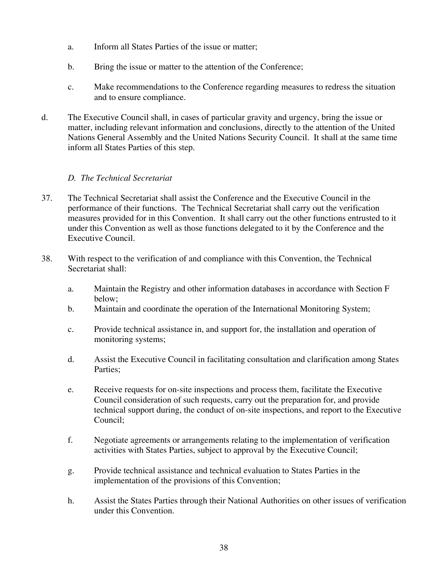- a. Inform all States Parties of the issue or matter;
- b. Bring the issue or matter to the attention of the Conference;
- c. Make recommendations to the Conference regarding measures to redress the situation and to ensure compliance.
- d. The Executive Council shall, in cases of particular gravity and urgency, bring the issue or matter, including relevant information and conclusions, directly to the attention of the United Nations General Assembly and the United Nations Security Council. It shall at the same time inform all States Parties of this step.

#### *D. The Technical Secretariat*

- 37. The Technical Secretariat shall assist the Conference and the Executive Council in the performance of their functions. The Technical Secretariat shall carry out the verification measures provided for in this Convention. It shall carry out the other functions entrusted to it under this Convention as well as those functions delegated to it by the Conference and the Executive Council.
- 38. With respect to the verification of and compliance with this Convention, the Technical Secretariat shall:
	- a. Maintain the Registry and other information databases in accordance with Section F below;
	- b. Maintain and coordinate the operation of the International Monitoring System;
	- c. Provide technical assistance in, and support for, the installation and operation of monitoring systems;
	- d. Assist the Executive Council in facilitating consultation and clarification among States Parties;
	- e. Receive requests for on-site inspections and process them, facilitate the Executive Council consideration of such requests, carry out the preparation for, and provide technical support during, the conduct of on-site inspections, and report to the Executive Council;
	- f. Negotiate agreements or arrangements relating to the implementation of verification activities with States Parties, subject to approval by the Executive Council;
	- g. Provide technical assistance and technical evaluation to States Parties in the implementation of the provisions of this Convention;
	- h. Assist the States Parties through their National Authorities on other issues of verification under this Convention.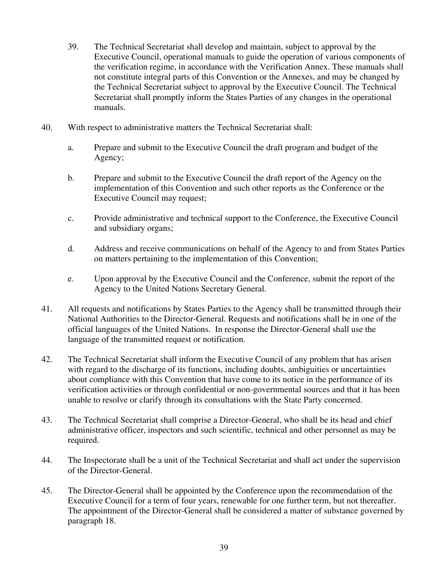- 39. The Technical Secretariat shall develop and maintain, subject to approval by the Executive Council, operational manuals to guide the operation of various components of the verification regime, in accordance with the Verification Annex. These manuals shall not constitute integral parts of this Convention or the Annexes, and may be changed by the Technical Secretariat subject to approval by the Executive Council. The Technical Secretariat shall promptly inform the States Parties of any changes in the operational manuals.
- 40. With respect to administrative matters the Technical Secretariat shall:
	- a. Prepare and submit to the Executive Council the draft program and budget of the Agency;
	- b. Prepare and submit to the Executive Council the draft report of the Agency on the implementation of this Convention and such other reports as the Conference or the Executive Council may request;
	- c. Provide administrative and technical support to the Conference, the Executive Council and subsidiary organs;
	- d. Address and receive communications on behalf of the Agency to and from States Parties on matters pertaining to the implementation of this Convention;
	- e. Upon approval by the Executive Council and the Conference, submit the report of the Agency to the United Nations Secretary General.
- 41. All requests and notifications by States Parties to the Agency shall be transmitted through their National Authorities to the Director-General. Requests and notifications shall be in one of the official languages of the United Nations. In response the Director-General shall use the language of the transmitted request or notification.
- 42. The Technical Secretariat shall inform the Executive Council of any problem that has arisen with regard to the discharge of its functions, including doubts, ambiguities or uncertainties about compliance with this Convention that have come to its notice in the performance of its verification activities or through confidential or non-governmental sources and that it has been unable to resolve or clarify through its consultations with the State Party concerned.
- 43. The Technical Secretariat shall comprise a Director-General, who shall be its head and chief administrative officer, inspectors and such scientific, technical and other personnel as may be required.
- 44. The Inspectorate shall be a unit of the Technical Secretariat and shall act under the supervision of the Director-General.
- 45. The Director-General shall be appointed by the Conference upon the recommendation of the Executive Council for a term of four years, renewable for one further term, but not thereafter. The appointment of the Director-General shall be considered a matter of substance governed by paragraph 18.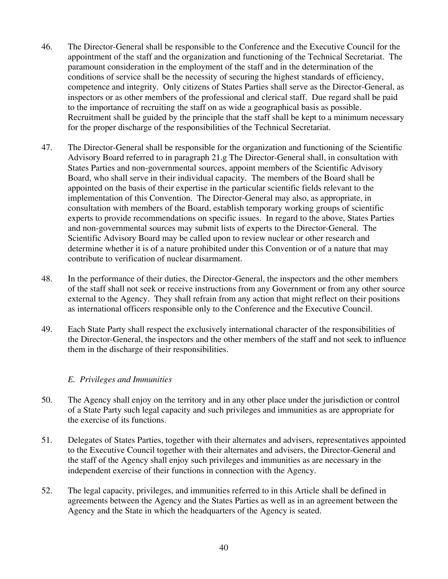- 46. The Director-General shall be responsible to the Conference and the Executive Council for the appointment of the staff and the organization and functioning of the Technical Secretariat. The paramount consideration in the employment of the staff and in the determination of the conditions of service shall be the necessity of securing the highest standards of efficiency, competence and integrity. Only citizens of States Parties shall serve as the Director-General, as inspectors or as other members of the professional and clerical staff. Due regard shall be paid to the importance of recruiting the staff on as wide a geographical basis as possible. Recruitment shall be guided by the principle that the staff shall be kept to a minimum necessary for the proper discharge of the responsibilities of the Technical Secretariat.
- 47. The Director-General shall be responsible for the organization and functioning of the Scientific Advisory Board referred to in paragraph 21.g The Director-General shall, in consultation with States Parties and non-governmental sources, appoint members of the Scientific Advisory Board, who shall serve in their individual capacity. The members of the Board shall be appointed on the basis of their expertise in the particular scientific fields relevant to the implementation of this Convention. The Director-General may also, as appropriate, in consultation with members of the Board, establish temporary working groups of scientific experts to provide recommendations on specific issues. In regard to the above, States Parties and non-governmental sources may submit lists of experts to the Director-General. The Scientific Advisory Board may be called upon to review nuclear or other research and determine whether it is of a nature prohibited under this Convention or of a nature that may contribute to verification of nuclear disarmament.
- 48. In the performance of their duties, the Director-General, the inspectors and the other members of the staff shall not seek or receive instructions from any Government or from any other source external to the Agency. They shall refrain from any action that might reflect on their positions as international officers responsible only to the Conference and the Executive Council.
- 49. Each State Party shall respect the exclusively international character of the responsibilities of the Director-General, the inspectors and the other members of the staff and not seek to influence them in the discharge of their responsibilities.

#### *E. Privileges and Immunities*

- 50. The Agency shall enjoy on the territory and in any other place under the jurisdiction or control of a State Party such legal capacity and such privileges and immunities as are appropriate for the exercise of its functions.
- 51. Delegates of States Parties, together with their alternates and advisers, representatives appointed to the Executive Council together with their alternates and advisers, the Director-General and the staff of the Agency shall enjoy such privileges and immunities as are necessary in the independent exercise of their functions in connection with the Agency.
- 52. The legal capacity, privileges, and immunities referred to in this Article shall be defined in agreements between the Agency and the States Parties as well as in an agreement between the Agency and the State in which the headquarters of the Agency is seated.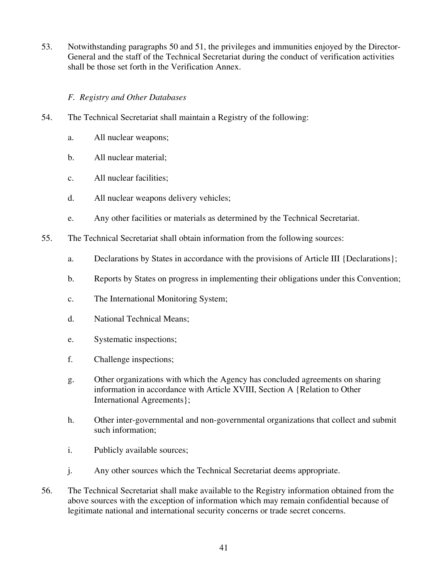53. Notwithstanding paragraphs 50 and 51, the privileges and immunities enjoyed by the Director-General and the staff of the Technical Secretariat during the conduct of verification activities shall be those set forth in the Verification Annex.

#### *F. Registry and Other Databases*

- 54. The Technical Secretariat shall maintain a Registry of the following:
	- a. All nuclear weapons;
	- b. All nuclear material;
	- c. All nuclear facilities;
	- d. All nuclear weapons delivery vehicles;
	- e. Any other facilities or materials as determined by the Technical Secretariat.
- 55. The Technical Secretariat shall obtain information from the following sources:
	- a. Declarations by States in accordance with the provisions of Article III {Declarations};
	- b. Reports by States on progress in implementing their obligations under this Convention;
	- c. The International Monitoring System;
	- d. National Technical Means;
	- e. Systematic inspections;
	- f. Challenge inspections;
	- g. Other organizations with which the Agency has concluded agreements on sharing information in accordance with Article XVIII, Section A {Relation to Other International Agreements};
	- h. Other inter-governmental and non-governmental organizations that collect and submit such information;
	- i. Publicly available sources;
	- j. Any other sources which the Technical Secretariat deems appropriate.
- 56. The Technical Secretariat shall make available to the Registry information obtained from the above sources with the exception of information which may remain confidential because of legitimate national and international security concerns or trade secret concerns.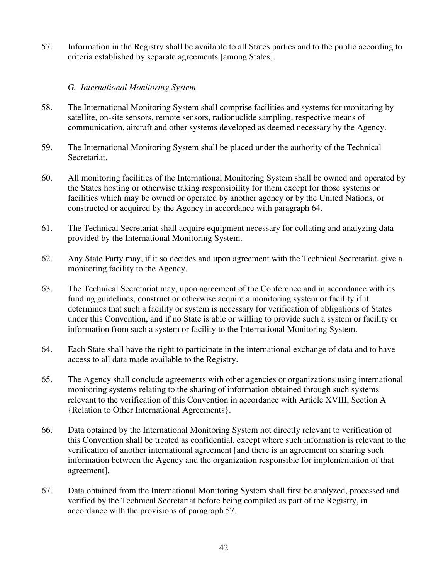57. Information in the Registry shall be available to all States parties and to the public according to criteria established by separate agreements [among States].

#### *G. International Monitoring System*

- 58. The International Monitoring System shall comprise facilities and systems for monitoring by satellite, on-site sensors, remote sensors, radionuclide sampling, respective means of communication, aircraft and other systems developed as deemed necessary by the Agency.
- 59. The International Monitoring System shall be placed under the authority of the Technical Secretariat.
- 60. All monitoring facilities of the International Monitoring System shall be owned and operated by the States hosting or otherwise taking responsibility for them except for those systems or facilities which may be owned or operated by another agency or by the United Nations, or constructed or acquired by the Agency in accordance with paragraph 64.
- 61. The Technical Secretariat shall acquire equipment necessary for collating and analyzing data provided by the International Monitoring System.
- 62. Any State Party may, if it so decides and upon agreement with the Technical Secretariat, give a monitoring facility to the Agency.
- 63. The Technical Secretariat may, upon agreement of the Conference and in accordance with its funding guidelines, construct or otherwise acquire a monitoring system or facility if it determines that such a facility or system is necessary for verification of obligations of States under this Convention, and if no State is able or willing to provide such a system or facility or information from such a system or facility to the International Monitoring System.
- 64. Each State shall have the right to participate in the international exchange of data and to have access to all data made available to the Registry.
- 65. The Agency shall conclude agreements with other agencies or organizations using international monitoring systems relating to the sharing of information obtained through such systems relevant to the verification of this Convention in accordance with Article XVIII, Section A {Relation to Other International Agreements}.
- 66. Data obtained by the International Monitoring System not directly relevant to verification of this Convention shall be treated as confidential, except where such information is relevant to the verification of another international agreement [and there is an agreement on sharing such information between the Agency and the organization responsible for implementation of that agreement].
- 67. Data obtained from the International Monitoring System shall first be analyzed, processed and verified by the Technical Secretariat before being compiled as part of the Registry, in accordance with the provisions of paragraph 57.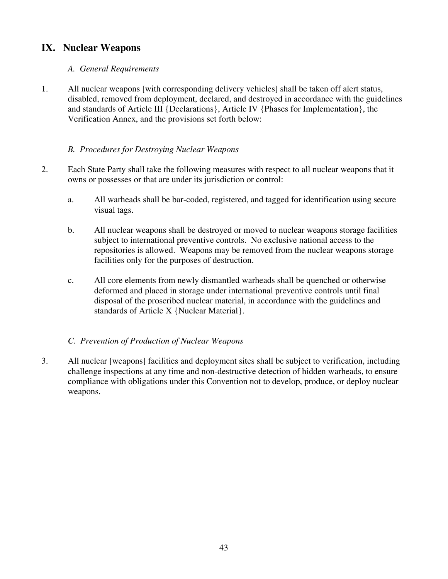## **IX. Nuclear Weapons**

#### *A. General Requirements*

1. All nuclear weapons [with corresponding delivery vehicles] shall be taken off alert status, disabled, removed from deployment, declared, and destroyed in accordance with the guidelines and standards of Article III {Declarations}, Article IV {Phases for Implementation}, the Verification Annex, and the provisions set forth below:

#### *B. Procedures for Destroying Nuclear Weapons*

- 2. Each State Party shall take the following measures with respect to all nuclear weapons that it owns or possesses or that are under its jurisdiction or control:
	- a. All warheads shall be bar-coded, registered, and tagged for identification using secure visual tags.
	- b. All nuclear weapons shall be destroyed or moved to nuclear weapons storage facilities subject to international preventive controls. No exclusive national access to the repositories is allowed. Weapons may be removed from the nuclear weapons storage facilities only for the purposes of destruction.
	- c. All core elements from newly dismantled warheads shall be quenched or otherwise deformed and placed in storage under international preventive controls until final disposal of the proscribed nuclear material, in accordance with the guidelines and standards of Article X {Nuclear Material}.

#### *C. Prevention of Production of Nuclear Weapons*

3. All nuclear [weapons] facilities and deployment sites shall be subject to verification, including challenge inspections at any time and non-destructive detection of hidden warheads, to ensure compliance with obligations under this Convention not to develop, produce, or deploy nuclear weapons.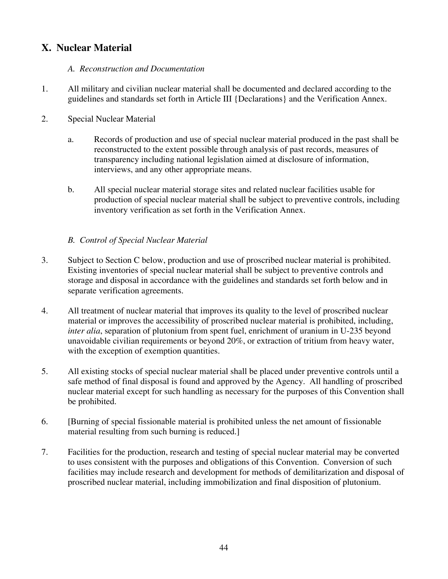## **X. Nuclear Material**

#### *A. Reconstruction and Documentation*

- 1. All military and civilian nuclear material shall be documented and declared according to the guidelines and standards set forth in Article III {Declarations} and the Verification Annex.
- 2. Special Nuclear Material
	- a. Records of production and use of special nuclear material produced in the past shall be reconstructed to the extent possible through analysis of past records, measures of transparency including national legislation aimed at disclosure of information, interviews, and any other appropriate means.
	- b. All special nuclear material storage sites and related nuclear facilities usable for production of special nuclear material shall be subject to preventive controls, including inventory verification as set forth in the Verification Annex.

#### *B. Control of Special Nuclear Material*

- 3. Subject to Section C below, production and use of proscribed nuclear material is prohibited. Existing inventories of special nuclear material shall be subject to preventive controls and storage and disposal in accordance with the guidelines and standards set forth below and in separate verification agreements.
- 4. All treatment of nuclear material that improves its quality to the level of proscribed nuclear material or improves the accessibility of proscribed nuclear material is prohibited, including, *inter alia*, separation of plutonium from spent fuel, enrichment of uranium in U-235 beyond unavoidable civilian requirements or beyond 20%, or extraction of tritium from heavy water, with the exception of exemption quantities.
- 5. All existing stocks of special nuclear material shall be placed under preventive controls until a safe method of final disposal is found and approved by the Agency. All handling of proscribed nuclear material except for such handling as necessary for the purposes of this Convention shall be prohibited.
- 6. [Burning of special fissionable material is prohibited unless the net amount of fissionable material resulting from such burning is reduced.]
- 7. Facilities for the production, research and testing of special nuclear material may be converted to uses consistent with the purposes and obligations of this Convention. Conversion of such facilities may include research and development for methods of demilitarization and disposal of proscribed nuclear material, including immobilization and final disposition of plutonium.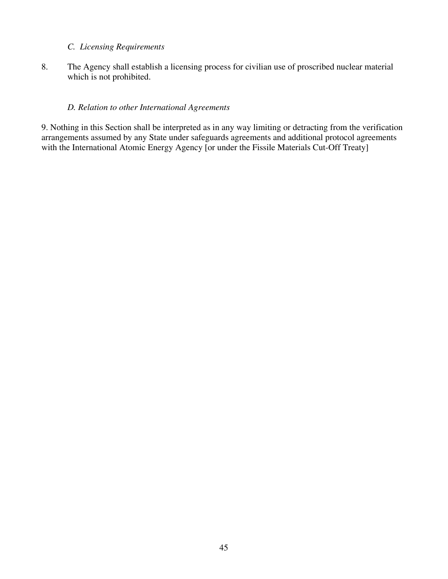#### *C. Licensing Requirements*

8. The Agency shall establish a licensing process for civilian use of proscribed nuclear material which is not prohibited.

#### *D. Relation to other International Agreements*

9. Nothing in this Section shall be interpreted as in any way limiting or detracting from the verification arrangements assumed by any State under safeguards agreements and additional protocol agreements with the International Atomic Energy Agency [or under the Fissile Materials Cut-Off Treaty]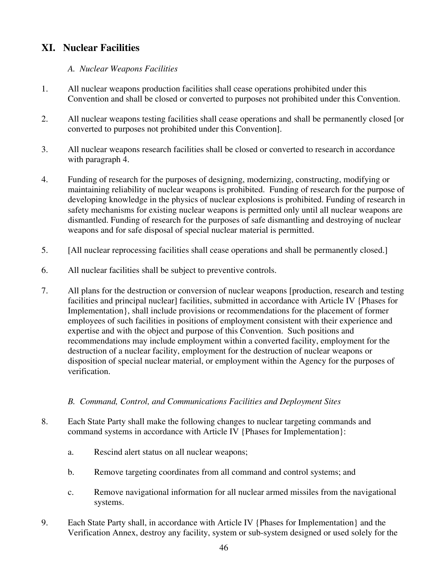## **XI. Nuclear Facilities**

#### *A. Nuclear Weapons Facilities*

- 1. All nuclear weapons production facilities shall cease operations prohibited under this Convention and shall be closed or converted to purposes not prohibited under this Convention.
- 2. All nuclear weapons testing facilities shall cease operations and shall be permanently closed [or converted to purposes not prohibited under this Convention].
- 3. All nuclear weapons research facilities shall be closed or converted to research in accordance with paragraph 4.
- 4. Funding of research for the purposes of designing, modernizing, constructing, modifying or maintaining reliability of nuclear weapons is prohibited. Funding of research for the purpose of developing knowledge in the physics of nuclear explosions is prohibited. Funding of research in safety mechanisms for existing nuclear weapons is permitted only until all nuclear weapons are dismantled. Funding of research for the purposes of safe dismantling and destroying of nuclear weapons and for safe disposal of special nuclear material is permitted.
- 5. [All nuclear reprocessing facilities shall cease operations and shall be permanently closed.]
- 6. All nuclear facilities shall be subject to preventive controls.
- 7. All plans for the destruction or conversion of nuclear weapons [production, research and testing facilities and principal nuclear] facilities, submitted in accordance with Article IV {Phases for Implementation}, shall include provisions or recommendations for the placement of former employees of such facilities in positions of employment consistent with their experience and expertise and with the object and purpose of this Convention. Such positions and recommendations may include employment within a converted facility, employment for the destruction of a nuclear facility, employment for the destruction of nuclear weapons or disposition of special nuclear material, or employment within the Agency for the purposes of verification.

#### *B. Command, Control, and Communications Facilities and Deployment Sites*

- 8. Each State Party shall make the following changes to nuclear targeting commands and command systems in accordance with Article IV {Phases for Implementation}:
	- a. Rescind alert status on all nuclear weapons;
	- b. Remove targeting coordinates from all command and control systems; and
	- c. Remove navigational information for all nuclear armed missiles from the navigational systems.
- 9. Each State Party shall, in accordance with Article IV {Phases for Implementation} and the Verification Annex, destroy any facility, system or sub-system designed or used solely for the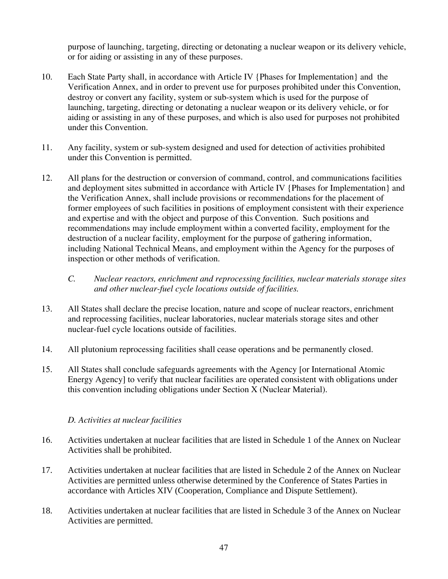purpose of launching, targeting, directing or detonating a nuclear weapon or its delivery vehicle, or for aiding or assisting in any of these purposes.

- 10. Each State Party shall, in accordance with Article IV {Phases for Implementation} and the Verification Annex, and in order to prevent use for purposes prohibited under this Convention, destroy or convert any facility, system or sub-system which is used for the purpose of launching, targeting, directing or detonating a nuclear weapon or its delivery vehicle, or for aiding or assisting in any of these purposes, and which is also used for purposes not prohibited under this Convention.
- 11. Any facility, system or sub-system designed and used for detection of activities prohibited under this Convention is permitted.
- 12. All plans for the destruction or conversion of command, control, and communications facilities and deployment sites submitted in accordance with Article IV {Phases for Implementation} and the Verification Annex, shall include provisions or recommendations for the placement of former employees of such facilities in positions of employment consistent with their experience and expertise and with the object and purpose of this Convention. Such positions and recommendations may include employment within a converted facility, employment for the destruction of a nuclear facility, employment for the purpose of gathering information, including National Technical Means, and employment within the Agency for the purposes of inspection or other methods of verification.
	- *C. Nuclear reactors, enrichment and reprocessing facilities, nuclear materials storage sites and other nuclear-fuel cycle locations outside of facilities.*
- 13. All States shall declare the precise location, nature and scope of nuclear reactors, enrichment and reprocessing facilities, nuclear laboratories, nuclear materials storage sites and other nuclear-fuel cycle locations outside of facilities.
- 14. All plutonium reprocessing facilities shall cease operations and be permanently closed.
- 15. All States shall conclude safeguards agreements with the Agency [or International Atomic Energy Agency] to verify that nuclear facilities are operated consistent with obligations under this convention including obligations under Section X (Nuclear Material).

#### *D. Activities at nuclear facilities*

- 16. Activities undertaken at nuclear facilities that are listed in Schedule 1 of the Annex on Nuclear Activities shall be prohibited.
- 17. Activities undertaken at nuclear facilities that are listed in Schedule 2 of the Annex on Nuclear Activities are permitted unless otherwise determined by the Conference of States Parties in accordance with Articles XIV (Cooperation, Compliance and Dispute Settlement).
- 18. Activities undertaken at nuclear facilities that are listed in Schedule 3 of the Annex on Nuclear Activities are permitted.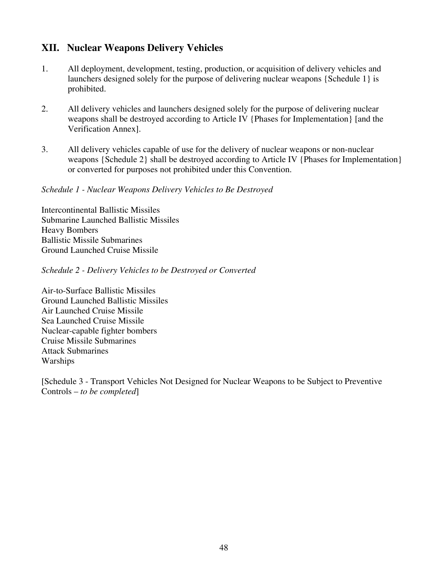### **XII. Nuclear Weapons Delivery Vehicles**

- 1. All deployment, development, testing, production, or acquisition of delivery vehicles and launchers designed solely for the purpose of delivering nuclear weapons {Schedule 1} is prohibited.
- 2. All delivery vehicles and launchers designed solely for the purpose of delivering nuclear weapons shall be destroyed according to Article IV {Phases for Implementation} [and the Verification Annex].
- 3. All delivery vehicles capable of use for the delivery of nuclear weapons or non-nuclear weapons {Schedule 2} shall be destroyed according to Article IV {Phases for Implementation} or converted for purposes not prohibited under this Convention.

#### *Schedule 1 - Nuclear Weapons Delivery Vehicles to Be Destroyed*

Intercontinental Ballistic Missiles Submarine Launched Ballistic Missiles Heavy Bombers Ballistic Missile Submarines Ground Launched Cruise Missile

#### *Schedule 2 - Delivery Vehicles to be Destroyed or Converted*

Air-to-Surface Ballistic Missiles Ground Launched Ballistic Missiles Air Launched Cruise Missile Sea Launched Cruise Missile Nuclear-capable fighter bombers Cruise Missile Submarines Attack Submarines Warships

[Schedule 3 - Transport Vehicles Not Designed for Nuclear Weapons to be Subject to Preventive Controls – *to be completed*]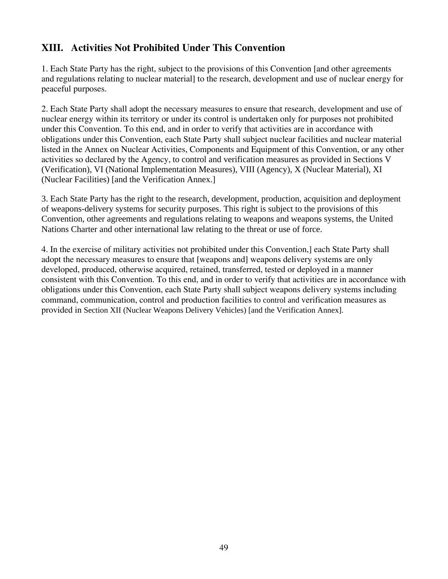## **XIII. Activities Not Prohibited Under This Convention**

1. Each State Party has the right, subject to the provisions of this Convention [and other agreements and regulations relating to nuclear material] to the research, development and use of nuclear energy for peaceful purposes.

2. Each State Party shall adopt the necessary measures to ensure that research, development and use of nuclear energy within its territory or under its control is undertaken only for purposes not prohibited under this Convention. To this end, and in order to verify that activities are in accordance with obligations under this Convention, each State Party shall subject nuclear facilities and nuclear material listed in the Annex on Nuclear Activities, Components and Equipment of this Convention, or any other activities so declared by the Agency, to control and verification measures as provided in Sections V (Verification), VI (National Implementation Measures), VIII (Agency), X (Nuclear Material), XI (Nuclear Facilities) [and the Verification Annex.]

3. Each State Party has the right to the research, development, production, acquisition and deployment of weapons-delivery systems for security purposes. This right is subject to the provisions of this Convention, other agreements and regulations relating to weapons and weapons systems, the United Nations Charter and other international law relating to the threat or use of force.

4. In the exercise of military activities not prohibited under this Convention,] each State Party shall adopt the necessary measures to ensure that [weapons and] weapons delivery systems are only developed, produced, otherwise acquired, retained, transferred, tested or deployed in a manner consistent with this Convention. To this end, and in order to verify that activities are in accordance with obligations under this Convention, each State Party shall subject weapons delivery systems including command, communication, control and production facilities to control and verification measures as provided in Section XII (Nuclear Weapons Delivery Vehicles) [and the Verification Annex].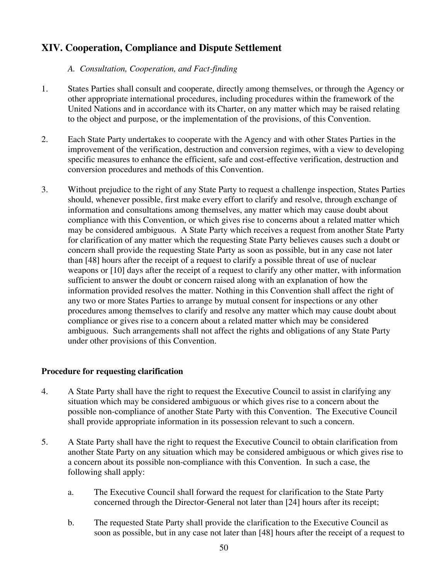## **XIV. Cooperation, Compliance and Dispute Settlement**

#### *A. Consultation, Cooperation, and Fact-finding*

- 1. States Parties shall consult and cooperate, directly among themselves, or through the Agency or other appropriate international procedures, including procedures within the framework of the United Nations and in accordance with its Charter, on any matter which may be raised relating to the object and purpose, or the implementation of the provisions, of this Convention.
- 2. Each State Party undertakes to cooperate with the Agency and with other States Parties in the improvement of the verification, destruction and conversion regimes, with a view to developing specific measures to enhance the efficient, safe and cost-effective verification, destruction and conversion procedures and methods of this Convention.
- 3. Without prejudice to the right of any State Party to request a challenge inspection, States Parties should, whenever possible, first make every effort to clarify and resolve, through exchange of information and consultations among themselves, any matter which may cause doubt about compliance with this Convention, or which gives rise to concerns about a related matter which may be considered ambiguous. A State Party which receives a request from another State Party for clarification of any matter which the requesting State Party believes causes such a doubt or concern shall provide the requesting State Party as soon as possible, but in any case not later than [48] hours after the receipt of a request to clarify a possible threat of use of nuclear weapons or [10] days after the receipt of a request to clarify any other matter, with information sufficient to answer the doubt or concern raised along with an explanation of how the information provided resolves the matter. Nothing in this Convention shall affect the right of any two or more States Parties to arrange by mutual consent for inspections or any other procedures among themselves to clarify and resolve any matter which may cause doubt about compliance or gives rise to a concern about a related matter which may be considered ambiguous. Such arrangements shall not affect the rights and obligations of any State Party under other provisions of this Convention.

#### **Procedure for requesting clarification**

- 4. A State Party shall have the right to request the Executive Council to assist in clarifying any situation which may be considered ambiguous or which gives rise to a concern about the possible non-compliance of another State Party with this Convention. The Executive Council shall provide appropriate information in its possession relevant to such a concern.
- 5. A State Party shall have the right to request the Executive Council to obtain clarification from another State Party on any situation which may be considered ambiguous or which gives rise to a concern about its possible non-compliance with this Convention. In such a case, the following shall apply:
	- a. The Executive Council shall forward the request for clarification to the State Party concerned through the Director-General not later than [24] hours after its receipt;
	- b. The requested State Party shall provide the clarification to the Executive Council as soon as possible, but in any case not later than [48] hours after the receipt of a request to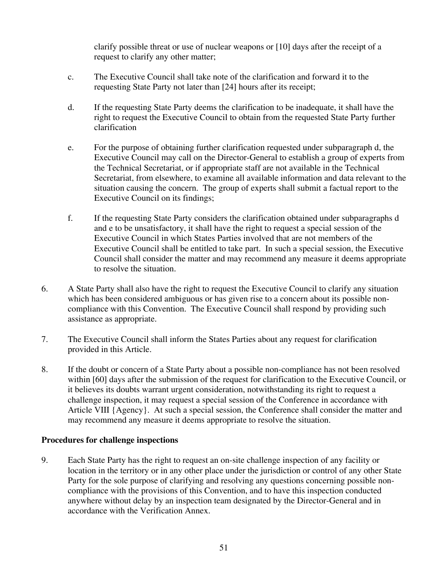clarify possible threat or use of nuclear weapons or [10] days after the receipt of a request to clarify any other matter;

- c. The Executive Council shall take note of the clarification and forward it to the requesting State Party not later than [24] hours after its receipt;
- d. If the requesting State Party deems the clarification to be inadequate, it shall have the right to request the Executive Council to obtain from the requested State Party further clarification
- e. For the purpose of obtaining further clarification requested under subparagraph d, the Executive Council may call on the Director-General to establish a group of experts from the Technical Secretariat, or if appropriate staff are not available in the Technical Secretariat, from elsewhere, to examine all available information and data relevant to the situation causing the concern. The group of experts shall submit a factual report to the Executive Council on its findings;
- f. If the requesting State Party considers the clarification obtained under subparagraphs d and e to be unsatisfactory, it shall have the right to request a special session of the Executive Council in which States Parties involved that are not members of the Executive Council shall be entitled to take part. In such a special session, the Executive Council shall consider the matter and may recommend any measure it deems appropriate to resolve the situation.
- 6. A State Party shall also have the right to request the Executive Council to clarify any situation which has been considered ambiguous or has given rise to a concern about its possible noncompliance with this Convention. The Executive Council shall respond by providing such assistance as appropriate.
- 7. The Executive Council shall inform the States Parties about any request for clarification provided in this Article.
- 8. If the doubt or concern of a State Party about a possible non-compliance has not been resolved within [60] days after the submission of the request for clarification to the Executive Council, or it believes its doubts warrant urgent consideration, notwithstanding its right to request a challenge inspection, it may request a special session of the Conference in accordance with Article VIII {Agency}. At such a special session, the Conference shall consider the matter and may recommend any measure it deems appropriate to resolve the situation.

#### **Procedures for challenge inspections**

9. Each State Party has the right to request an on-site challenge inspection of any facility or location in the territory or in any other place under the jurisdiction or control of any other State Party for the sole purpose of clarifying and resolving any questions concerning possible noncompliance with the provisions of this Convention, and to have this inspection conducted anywhere without delay by an inspection team designated by the Director-General and in accordance with the Verification Annex.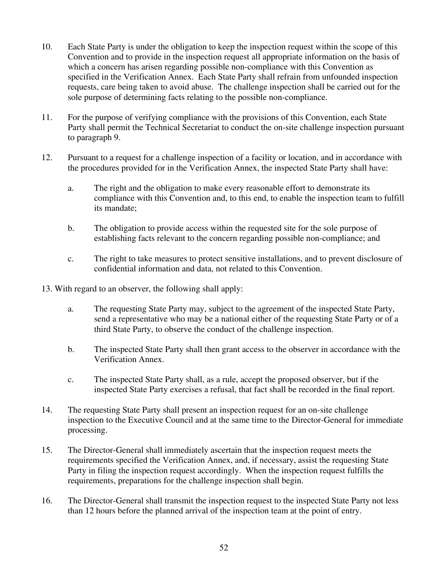- 10. Each State Party is under the obligation to keep the inspection request within the scope of this Convention and to provide in the inspection request all appropriate information on the basis of which a concern has arisen regarding possible non-compliance with this Convention as specified in the Verification Annex. Each State Party shall refrain from unfounded inspection requests, care being taken to avoid abuse. The challenge inspection shall be carried out for the sole purpose of determining facts relating to the possible non-compliance.
- 11. For the purpose of verifying compliance with the provisions of this Convention, each State Party shall permit the Technical Secretariat to conduct the on-site challenge inspection pursuant to paragraph 9.
- 12. Pursuant to a request for a challenge inspection of a facility or location, and in accordance with the procedures provided for in the Verification Annex, the inspected State Party shall have:
	- a. The right and the obligation to make every reasonable effort to demonstrate its compliance with this Convention and, to this end, to enable the inspection team to fulfill its mandate;
	- b. The obligation to provide access within the requested site for the sole purpose of establishing facts relevant to the concern regarding possible non-compliance; and
	- c. The right to take measures to protect sensitive installations, and to prevent disclosure of confidential information and data, not related to this Convention.
- 13. With regard to an observer, the following shall apply:
	- a. The requesting State Party may, subject to the agreement of the inspected State Party, send a representative who may be a national either of the requesting State Party or of a third State Party, to observe the conduct of the challenge inspection.
	- b. The inspected State Party shall then grant access to the observer in accordance with the Verification Annex.
	- c. The inspected State Party shall, as a rule, accept the proposed observer, but if the inspected State Party exercises a refusal, that fact shall be recorded in the final report.
- 14. The requesting State Party shall present an inspection request for an on-site challenge inspection to the Executive Council and at the same time to the Director-General for immediate processing.
- 15. The Director-General shall immediately ascertain that the inspection request meets the requirements specified the Verification Annex, and, if necessary, assist the requesting State Party in filing the inspection request accordingly. When the inspection request fulfills the requirements, preparations for the challenge inspection shall begin.
- 16. The Director-General shall transmit the inspection request to the inspected State Party not less than 12 hours before the planned arrival of the inspection team at the point of entry.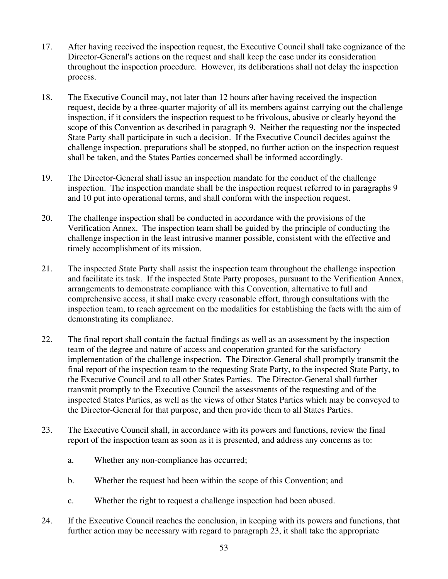- 17. After having received the inspection request, the Executive Council shall take cognizance of the Director-General's actions on the request and shall keep the case under its consideration throughout the inspection procedure. However, its deliberations shall not delay the inspection process.
- 18. The Executive Council may, not later than 12 hours after having received the inspection request, decide by a three-quarter majority of all its members against carrying out the challenge inspection, if it considers the inspection request to be frivolous, abusive or clearly beyond the scope of this Convention as described in paragraph 9. Neither the requesting nor the inspected State Party shall participate in such a decision. If the Executive Council decides against the challenge inspection, preparations shall be stopped, no further action on the inspection request shall be taken, and the States Parties concerned shall be informed accordingly.
- 19. The Director-General shall issue an inspection mandate for the conduct of the challenge inspection. The inspection mandate shall be the inspection request referred to in paragraphs 9 and 10 put into operational terms, and shall conform with the inspection request.
- 20. The challenge inspection shall be conducted in accordance with the provisions of the Verification Annex. The inspection team shall be guided by the principle of conducting the challenge inspection in the least intrusive manner possible, consistent with the effective and timely accomplishment of its mission.
- 21. The inspected State Party shall assist the inspection team throughout the challenge inspection and facilitate its task. If the inspected State Party proposes, pursuant to the Verification Annex, arrangements to demonstrate compliance with this Convention, alternative to full and comprehensive access, it shall make every reasonable effort, through consultations with the inspection team, to reach agreement on the modalities for establishing the facts with the aim of demonstrating its compliance.
- 22. The final report shall contain the factual findings as well as an assessment by the inspection team of the degree and nature of access and cooperation granted for the satisfactory implementation of the challenge inspection. The Director-General shall promptly transmit the final report of the inspection team to the requesting State Party, to the inspected State Party, to the Executive Council and to all other States Parties. The Director-General shall further transmit promptly to the Executive Council the assessments of the requesting and of the inspected States Parties, as well as the views of other States Parties which may be conveyed to the Director-General for that purpose, and then provide them to all States Parties.
- 23. The Executive Council shall, in accordance with its powers and functions, review the final report of the inspection team as soon as it is presented, and address any concerns as to:
	- a. Whether any non-compliance has occurred;
	- b. Whether the request had been within the scope of this Convention; and
	- c. Whether the right to request a challenge inspection had been abused.
- 24. If the Executive Council reaches the conclusion, in keeping with its powers and functions, that further action may be necessary with regard to paragraph 23, it shall take the appropriate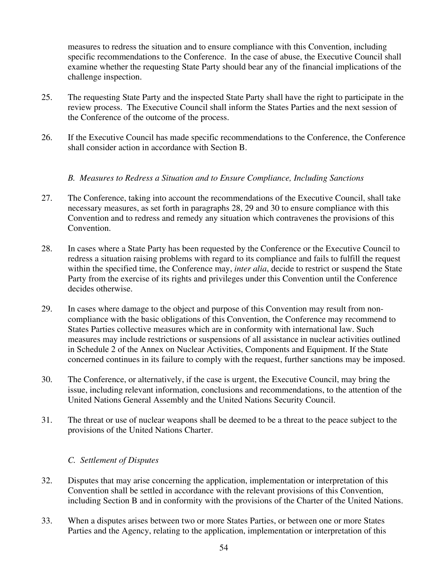measures to redress the situation and to ensure compliance with this Convention, including specific recommendations to the Conference. In the case of abuse, the Executive Council shall examine whether the requesting State Party should bear any of the financial implications of the challenge inspection.

- 25. The requesting State Party and the inspected State Party shall have the right to participate in the review process. The Executive Council shall inform the States Parties and the next session of the Conference of the outcome of the process.
- 26. If the Executive Council has made specific recommendations to the Conference, the Conference shall consider action in accordance with Section B.

#### *B. Measures to Redress a Situation and to Ensure Compliance, Including Sanctions*

- 27. The Conference, taking into account the recommendations of the Executive Council, shall take necessary measures, as set forth in paragraphs 28, 29 and 30 to ensure compliance with this Convention and to redress and remedy any situation which contravenes the provisions of this Convention.
- 28. In cases where a State Party has been requested by the Conference or the Executive Council to redress a situation raising problems with regard to its compliance and fails to fulfill the request within the specified time, the Conference may, *inter alia*, decide to restrict or suspend the State Party from the exercise of its rights and privileges under this Convention until the Conference decides otherwise.
- 29. In cases where damage to the object and purpose of this Convention may result from noncompliance with the basic obligations of this Convention, the Conference may recommend to States Parties collective measures which are in conformity with international law. Such measures may include restrictions or suspensions of all assistance in nuclear activities outlined in Schedule 2 of the Annex on Nuclear Activities, Components and Equipment. If the State concerned continues in its failure to comply with the request, further sanctions may be imposed.
- 30. The Conference, or alternatively, if the case is urgent, the Executive Council, may bring the issue, including relevant information, conclusions and recommendations, to the attention of the United Nations General Assembly and the United Nations Security Council.
- 31. The threat or use of nuclear weapons shall be deemed to be a threat to the peace subject to the provisions of the United Nations Charter.

#### *C. Settlement of Disputes*

- 32. Disputes that may arise concerning the application, implementation or interpretation of this Convention shall be settled in accordance with the relevant provisions of this Convention, including Section B and in conformity with the provisions of the Charter of the United Nations.
- 33. When a disputes arises between two or more States Parties, or between one or more States Parties and the Agency, relating to the application, implementation or interpretation of this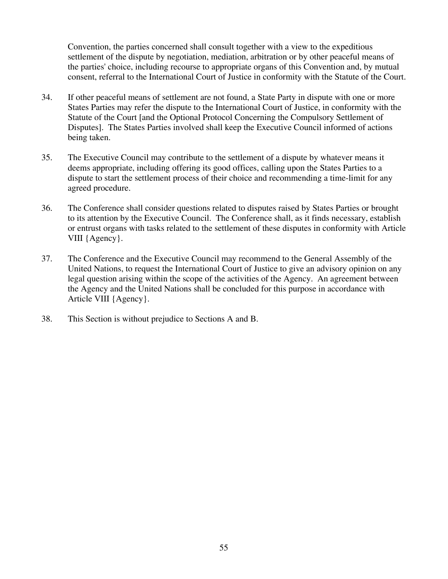Convention, the parties concerned shall consult together with a view to the expeditious settlement of the dispute by negotiation, mediation, arbitration or by other peaceful means of the parties' choice, including recourse to appropriate organs of this Convention and, by mutual consent, referral to the International Court of Justice in conformity with the Statute of the Court.

- 34. If other peaceful means of settlement are not found, a State Party in dispute with one or more States Parties may refer the dispute to the International Court of Justice, in conformity with the Statute of the Court [and the Optional Protocol Concerning the Compulsory Settlement of Disputes]. The States Parties involved shall keep the Executive Council informed of actions being taken.
- 35. The Executive Council may contribute to the settlement of a dispute by whatever means it deems appropriate, including offering its good offices, calling upon the States Parties to a dispute to start the settlement process of their choice and recommending a time-limit for any agreed procedure.
- 36. The Conference shall consider questions related to disputes raised by States Parties or brought to its attention by the Executive Council. The Conference shall, as it finds necessary, establish or entrust organs with tasks related to the settlement of these disputes in conformity with Article VIII {Agency}.
- 37. The Conference and the Executive Council may recommend to the General Assembly of the United Nations, to request the International Court of Justice to give an advisory opinion on any legal question arising within the scope of the activities of the Agency. An agreement between the Agency and the United Nations shall be concluded for this purpose in accordance with Article VIII {Agency}.
- 38. This Section is without prejudice to Sections A and B.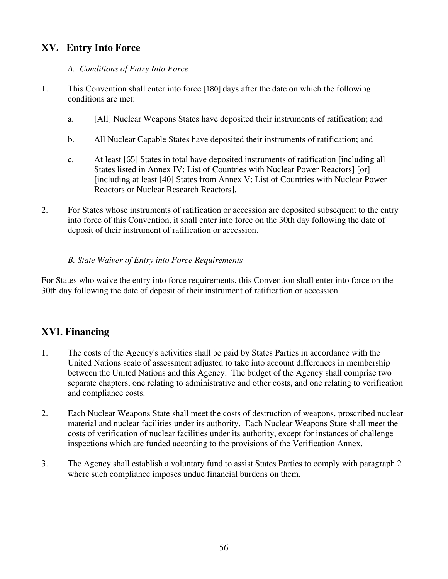## **XV. Entry Into Force**

#### *A. Conditions of Entry Into Force*

- 1. This Convention shall enter into force [180] days after the date on which the following conditions are met:
	- a. [All] Nuclear Weapons States have deposited their instruments of ratification; and
	- b. All Nuclear Capable States have deposited their instruments of ratification; and
	- c. At least [65] States in total have deposited instruments of ratification [including all States listed in Annex IV: List of Countries with Nuclear Power Reactors] [or] [including at least [40] States from Annex V: List of Countries with Nuclear Power Reactors or Nuclear Research Reactors].
- 2. For States whose instruments of ratification or accession are deposited subsequent to the entry into force of this Convention, it shall enter into force on the 30th day following the date of deposit of their instrument of ratification or accession.

#### *B. State Waiver of Entry into Force Requirements*

For States who waive the entry into force requirements, this Convention shall enter into force on the 30th day following the date of deposit of their instrument of ratification or accession.

## **XVI. Financing**

- 1. The costs of the Agency's activities shall be paid by States Parties in accordance with the United Nations scale of assessment adjusted to take into account differences in membership between the United Nations and this Agency. The budget of the Agency shall comprise two separate chapters, one relating to administrative and other costs, and one relating to verification and compliance costs.
- 2. Each Nuclear Weapons State shall meet the costs of destruction of weapons, proscribed nuclear material and nuclear facilities under its authority. Each Nuclear Weapons State shall meet the costs of verification of nuclear facilities under its authority, except for instances of challenge inspections which are funded according to the provisions of the Verification Annex.
- 3. The Agency shall establish a voluntary fund to assist States Parties to comply with paragraph 2 where such compliance imposes undue financial burdens on them.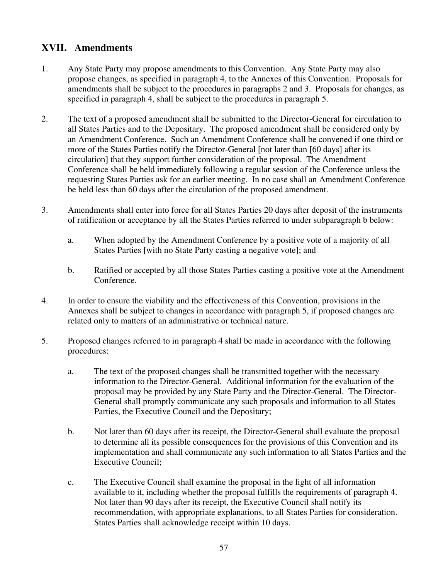## **XVII. Amendments**

- 1. Any State Party may propose amendments to this Convention. Any State Party may also propose changes, as specified in paragraph 4, to the Annexes of this Convention. Proposals for amendments shall be subject to the procedures in paragraphs 2 and 3. Proposals for changes, as specified in paragraph 4, shall be subject to the procedures in paragraph 5.
- 2. The text of a proposed amendment shall be submitted to the Director-General for circulation to all States Parties and to the Depositary. The proposed amendment shall be considered only by an Amendment Conference. Such an Amendment Conference shall be convened if one third or more of the States Parties notify the Director-General [not later than [60 days] after its circulation] that they support further consideration of the proposal. The Amendment Conference shall be held immediately following a regular session of the Conference unless the requesting States Parties ask for an earlier meeting. In no case shall an Amendment Conference be held less than 60 days after the circulation of the proposed amendment.
- 3. Amendments shall enter into force for all States Parties 20 days after deposit of the instruments of ratification or acceptance by all the States Parties referred to under subparagraph b below:
	- a. When adopted by the Amendment Conference by a positive vote of a majority of all States Parties [with no State Party casting a negative vote]; and
	- b. Ratified or accepted by all those States Parties casting a positive vote at the Amendment Conference.
- 4. In order to ensure the viability and the effectiveness of this Convention, provisions in the Annexes shall be subject to changes in accordance with paragraph 5, if proposed changes are related only to matters of an administrative or technical nature.
- 5. Proposed changes referred to in paragraph 4 shall be made in accordance with the following procedures:
	- a. The text of the proposed changes shall be transmitted together with the necessary information to the Director-General. Additional information for the evaluation of the proposal may be provided by any State Party and the Director-General. The Director-General shall promptly communicate any such proposals and information to all States Parties, the Executive Council and the Depositary;
	- b. Not later than 60 days after its receipt, the Director-General shall evaluate the proposal to determine all its possible consequences for the provisions of this Convention and its implementation and shall communicate any such information to all States Parties and the Executive Council;
	- c. The Executive Council shall examine the proposal in the light of all information available to it, including whether the proposal fulfills the requirements of paragraph 4. Not later than 90 days after its receipt, the Executive Council shall notify its recommendation, with appropriate explanations, to all States Parties for consideration. States Parties shall acknowledge receipt within 10 days.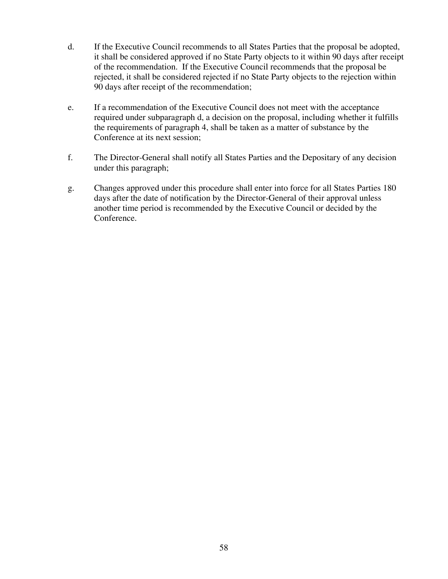- d. If the Executive Council recommends to all States Parties that the proposal be adopted, it shall be considered approved if no State Party objects to it within 90 days after receipt of the recommendation. If the Executive Council recommends that the proposal be rejected, it shall be considered rejected if no State Party objects to the rejection within 90 days after receipt of the recommendation;
- e. If a recommendation of the Executive Council does not meet with the acceptance required under subparagraph d, a decision on the proposal, including whether it fulfills the requirements of paragraph 4, shall be taken as a matter of substance by the Conference at its next session;
- f. The Director-General shall notify all States Parties and the Depositary of any decision under this paragraph;
- g. Changes approved under this procedure shall enter into force for all States Parties 180 days after the date of notification by the Director-General of their approval unless another time period is recommended by the Executive Council or decided by the Conference.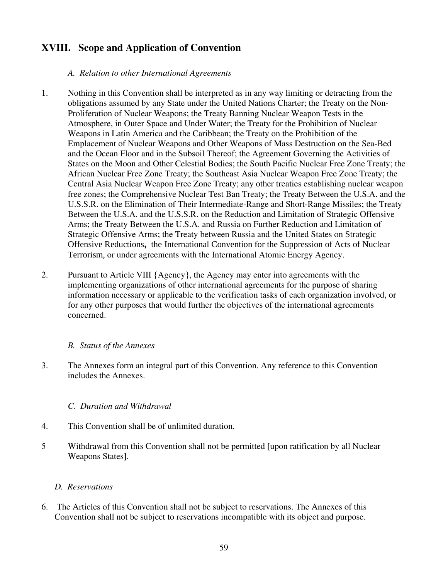## **XVIII. Scope and Application of Convention**

#### *A. Relation to other International Agreements*

- 1. Nothing in this Convention shall be interpreted as in any way limiting or detracting from the obligations assumed by any State under the United Nations Charter; the Treaty on the Non-Proliferation of Nuclear Weapons; the Treaty Banning Nuclear Weapon Tests in the Atmosphere, in Outer Space and Under Water; the Treaty for the Prohibition of Nuclear Weapons in Latin America and the Caribbean; the Treaty on the Prohibition of the Emplacement of Nuclear Weapons and Other Weapons of Mass Destruction on the Sea-Bed and the Ocean Floor and in the Subsoil Thereof; the Agreement Governing the Activities of States on the Moon and Other Celestial Bodies; the South Pacific Nuclear Free Zone Treaty; the African Nuclear Free Zone Treaty; the Southeast Asia Nuclear Weapon Free Zone Treaty; the Central Asia Nuclear Weapon Free Zone Treaty; any other treaties establishing nuclear weapon free zones; the Comprehensive Nuclear Test Ban Treaty; the Treaty Between the U.S.A. and the U.S.S.R. on the Elimination of Their Intermediate-Range and Short-Range Missiles; the Treaty Between the U.S.A. and the U.S.S.R. on the Reduction and Limitation of Strategic Offensive Arms; the Treaty Between the U.S.A. and Russia on Further Reduction and Limitation of Strategic Offensive Arms; the Treaty between Russia and the United States on Strategic Offensive Reductions**,** the International Convention for the Suppression of Acts of Nuclear Terrorism, or under agreements with the International Atomic Energy Agency.
- 2. Pursuant to Article VIII {Agency}, the Agency may enter into agreements with the implementing organizations of other international agreements for the purpose of sharing information necessary or applicable to the verification tasks of each organization involved, or for any other purposes that would further the objectives of the international agreements concerned.

#### *B. Status of the Annexes*

3. The Annexes form an integral part of this Convention. Any reference to this Convention includes the Annexes.

#### *C. Duration and Withdrawal*

- 4. This Convention shall be of unlimited duration.
- 5 Withdrawal from this Convention shall not be permitted [upon ratification by all Nuclear Weapons States].

#### *D. Reservations*

6. The Articles of this Convention shall not be subject to reservations. The Annexes of this Convention shall not be subject to reservations incompatible with its object and purpose.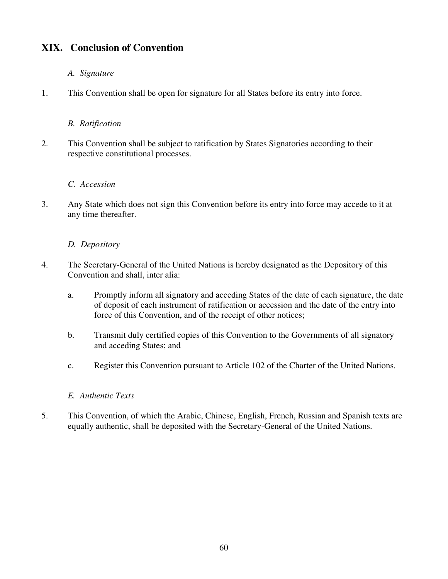## **XIX. Conclusion of Convention**

#### *A. Signature*

1. This Convention shall be open for signature for all States before its entry into force.

#### *B. Ratification*

2. This Convention shall be subject to ratification by States Signatories according to their respective constitutional processes.

#### *C. Accession*

3. Any State which does not sign this Convention before its entry into force may accede to it at any time thereafter.

#### *D. Depository*

- 4. The Secretary-General of the United Nations is hereby designated as the Depository of this Convention and shall, inter alia:
	- a. Promptly inform all signatory and acceding States of the date of each signature, the date of deposit of each instrument of ratification or accession and the date of the entry into force of this Convention, and of the receipt of other notices;
	- b. Transmit duly certified copies of this Convention to the Governments of all signatory and acceding States; and
	- c. Register this Convention pursuant to Article 102 of the Charter of the United Nations.

#### *E. Authentic Texts*

5. This Convention, of which the Arabic, Chinese, English, French, Russian and Spanish texts are equally authentic, shall be deposited with the Secretary-General of the United Nations.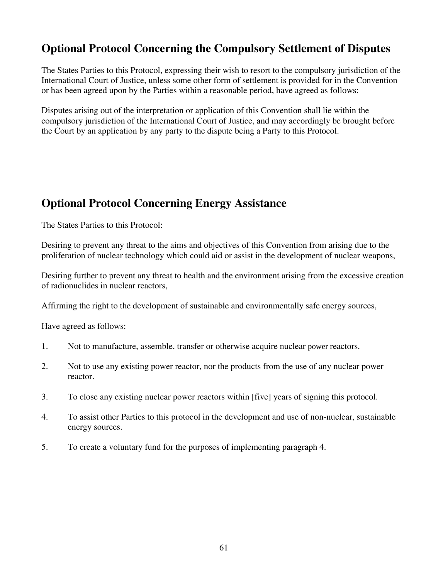## **Optional Protocol Concerning the Compulsory Settlement of Disputes**

The States Parties to this Protocol, expressing their wish to resort to the compulsory jurisdiction of the International Court of Justice, unless some other form of settlement is provided for in the Convention or has been agreed upon by the Parties within a reasonable period, have agreed as follows:

Disputes arising out of the interpretation or application of this Convention shall lie within the compulsory jurisdiction of the International Court of Justice, and may accordingly be brought before the Court by an application by any party to the dispute being a Party to this Protocol.

## **Optional Protocol Concerning Energy Assistance**

The States Parties to this Protocol:

Desiring to prevent any threat to the aims and objectives of this Convention from arising due to the proliferation of nuclear technology which could aid or assist in the development of nuclear weapons,

Desiring further to prevent any threat to health and the environment arising from the excessive creation of radionuclides in nuclear reactors,

Affirming the right to the development of sustainable and environmentally safe energy sources,

Have agreed as follows:

- 1. Not to manufacture, assemble, transfer or otherwise acquire nuclear power reactors.
- 2. Not to use any existing power reactor, nor the products from the use of any nuclear power reactor.
- 3. To close any existing nuclear power reactors within [five] years of signing this protocol.
- 4. To assist other Parties to this protocol in the development and use of non-nuclear, sustainable energy sources.
- 5. To create a voluntary fund for the purposes of implementing paragraph 4.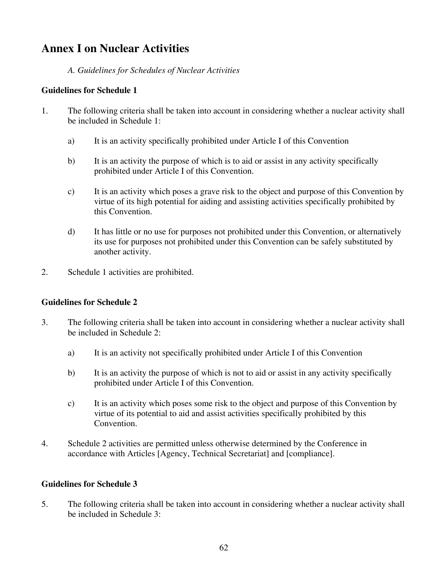## **Annex I on Nuclear Activities**

*A. Guidelines for Schedules of Nuclear Activities* 

#### **Guidelines for Schedule 1**

- 1. The following criteria shall be taken into account in considering whether a nuclear activity shall be included in Schedule 1:
	- a) It is an activity specifically prohibited under Article I of this Convention
	- b) It is an activity the purpose of which is to aid or assist in any activity specifically prohibited under Article I of this Convention.
	- c) It is an activity which poses a grave risk to the object and purpose of this Convention by virtue of its high potential for aiding and assisting activities specifically prohibited by this Convention.
	- d) It has little or no use for purposes not prohibited under this Convention, or alternatively its use for purposes not prohibited under this Convention can be safely substituted by another activity.
- 2. Schedule 1 activities are prohibited.

#### **Guidelines for Schedule 2**

- 3. The following criteria shall be taken into account in considering whether a nuclear activity shall be included in Schedule 2:
	- a) It is an activity not specifically prohibited under Article I of this Convention
	- b) It is an activity the purpose of which is not to aid or assist in any activity specifically prohibited under Article I of this Convention.
	- c) It is an activity which poses some risk to the object and purpose of this Convention by virtue of its potential to aid and assist activities specifically prohibited by this Convention.
- 4. Schedule 2 activities are permitted unless otherwise determined by the Conference in accordance with Articles [Agency, Technical Secretariat] and [compliance].

#### **Guidelines for Schedule 3**

5. The following criteria shall be taken into account in considering whether a nuclear activity shall be included in Schedule 3: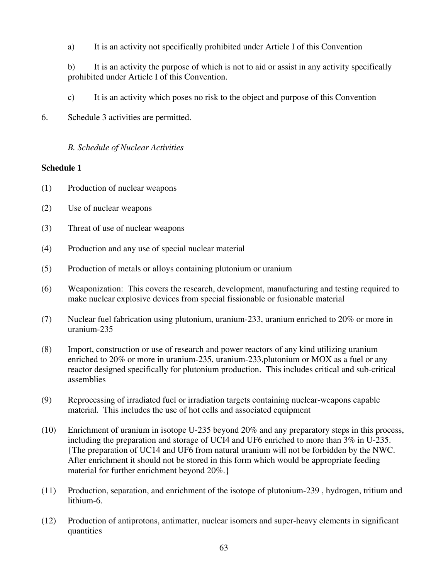a) It is an activity not specifically prohibited under Article I of this Convention

b) It is an activity the purpose of which is not to aid or assist in any activity specifically prohibited under Article I of this Convention.

- c) It is an activity which poses no risk to the object and purpose of this Convention
- 6. Schedule 3 activities are permitted.

#### *B. Schedule of Nuclear Activities*

#### **Schedule 1**

- (1) Production of nuclear weapons
- (2) Use of nuclear weapons
- (3) Threat of use of nuclear weapons
- (4) Production and any use of special nuclear material
- (5) Production of metals or alloys containing plutonium or uranium
- (6) Weaponization: This covers the research, development, manufacturing and testing required to make nuclear explosive devices from special fissionable or fusionable material
- (7) Nuclear fuel fabrication using plutonium, uranium-233, uranium enriched to 20% or more in uranium-235
- (8) Import, construction or use of research and power reactors of any kind utilizing uranium enriched to 20% or more in uranium-235, uranium-233,plutonium or MOX as a fuel or any reactor designed specifically for plutonium production. This includes critical and sub-critical assemblies
- (9) Reprocessing of irradiated fuel or irradiation targets containing nuclear-weapons capable material. This includes the use of hot cells and associated equipment
- (10) Enrichment of uranium in isotope U-235 beyond 20% and any preparatory steps in this process, including the preparation and storage of UCI4 and UF6 enriched to more than 3% in U-235. {The preparation of UC14 and UF6 from natural uranium will not be forbidden by the NWC. After enrichment it should not be stored in this form which would be appropriate feeding material for further enrichment beyond 20%.}
- (11) Production, separation, and enrichment of the isotope of plutonium-239 , hydrogen, tritium and lithium-6.
- (12) Production of antiprotons, antimatter, nuclear isomers and super-heavy elements in significant quantities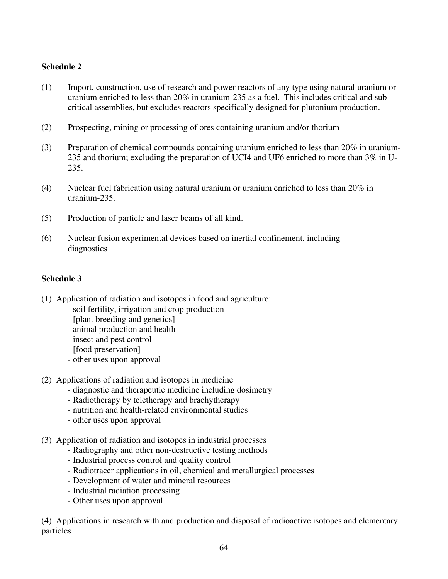#### **Schedule 2**

- (1) Import, construction, use of research and power reactors of any type using natural uranium or uranium enriched to less than 20% in uranium-235 as a fuel. This includes critical and subcritical assemblies, but excludes reactors specifically designed for plutonium production.
- (2) Prospecting, mining or processing of ores containing uranium and/or thorium
- (3) Preparation of chemical compounds containing uranium enriched to less than 20% in uranium-235 and thorium; excluding the preparation of UCI4 and UF6 enriched to more than 3% in U-235.
- (4) Nuclear fuel fabrication using natural uranium or uranium enriched to less than 20% in uranium-235.
- (5) Production of particle and laser beams of all kind.
- (6) Nuclear fusion experimental devices based on inertial confinement, including diagnostics

#### **Schedule 3**

- (1) Application of radiation and isotopes in food and agriculture:
	- soil fertility, irrigation and crop production
	- [plant breeding and genetics]
	- animal production and health
	- insect and pest control
	- [food preservation]
	- other uses upon approval
- (2) Applications of radiation and isotopes in medicine
	- diagnostic and therapeutic medicine including dosimetry
	- Radiotherapy by teletherapy and brachytherapy
	- nutrition and health-related environmental studies
	- other uses upon approval

(3) Application of radiation and isotopes in industrial processes

- Radiography and other non-destructive testing methods
- Industrial process control and quality control
- Radiotracer applications in oil, chemical and metallurgical processes
- Development of water and mineral resources
- Industrial radiation processing
- Other uses upon approval

(4) Applications in research with and production and disposal of radioactive isotopes and elementary particles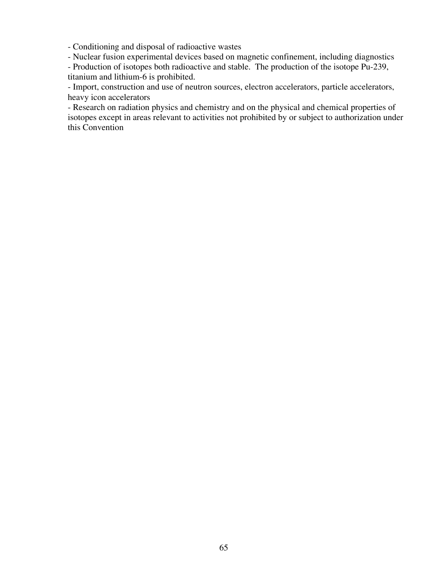- Conditioning and disposal of radioactive wastes

- Nuclear fusion experimental devices based on magnetic confinement, including diagnostics

- Production of isotopes both radioactive and stable. The production of the isotope Pu-239, titanium and lithium-6 is prohibited.

- Import, construction and use of neutron sources, electron accelerators, particle accelerators, heavy icon accelerators

- Research on radiation physics and chemistry and on the physical and chemical properties of isotopes except in areas relevant to activities not prohibited by or subject to authorization under this Convention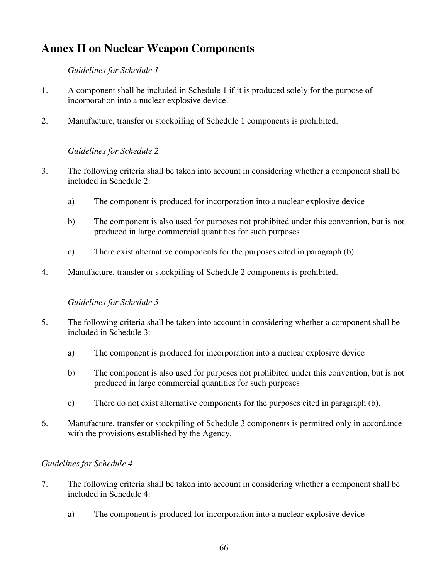## **Annex II on Nuclear Weapon Components**

#### *Guidelines for Schedule 1*

- 1. A component shall be included in Schedule 1 if it is produced solely for the purpose of incorporation into a nuclear explosive device.
- 2. Manufacture, transfer or stockpiling of Schedule 1 components is prohibited.

### *Guidelines for Schedule 2*

- 3. The following criteria shall be taken into account in considering whether a component shall be included in Schedule 2:
	- a) The component is produced for incorporation into a nuclear explosive device
	- b) The component is also used for purposes not prohibited under this convention, but is not produced in large commercial quantities for such purposes
	- c) There exist alternative components for the purposes cited in paragraph (b).
- 4. Manufacture, transfer or stockpiling of Schedule 2 components is prohibited.

#### *Guidelines for Schedule 3*

- 5. The following criteria shall be taken into account in considering whether a component shall be included in Schedule 3:
	- a) The component is produced for incorporation into a nuclear explosive device
	- b) The component is also used for purposes not prohibited under this convention, but is not produced in large commercial quantities for such purposes
	- c) There do not exist alternative components for the purposes cited in paragraph (b).
- 6. Manufacture, transfer or stockpiling of Schedule 3 components is permitted only in accordance with the provisions established by the Agency.

#### *Guidelines for Schedule 4*

- 7. The following criteria shall be taken into account in considering whether a component shall be included in Schedule 4:
	- a) The component is produced for incorporation into a nuclear explosive device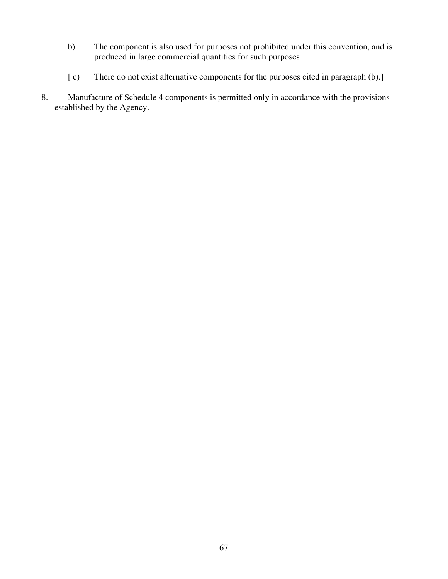- b) The component is also used for purposes not prohibited under this convention, and is produced in large commercial quantities for such purposes
- [ c) There do not exist alternative components for the purposes cited in paragraph (b).]
- 8. Manufacture of Schedule 4 components is permitted only in accordance with the provisions established by the Agency.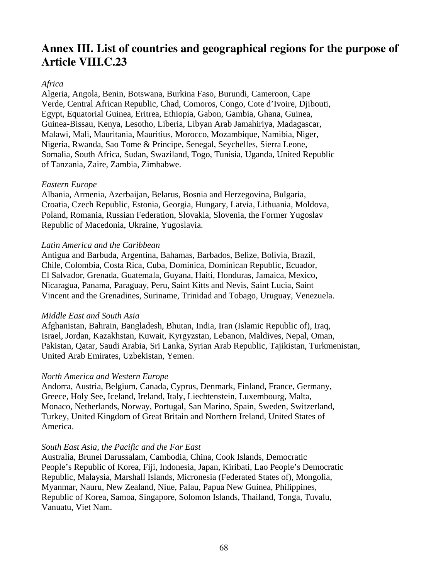## **Annex III. List of countries and geographical regions for the purpose of Article VIII.C.23**

#### *Africa*

Algeria, Angola, Benin, Botswana, Burkina Faso, Burundi, Cameroon, Cape Verde, Central African Republic, Chad, Comoros, Congo, Cote d'Ivoire, Djibouti, Egypt, Equatorial Guinea, Eritrea, Ethiopia, Gabon, Gambia, Ghana, Guinea, Guinea-Bissau, Kenya, Lesotho, Liberia, Libyan Arab Jamahiriya, Madagascar, Malawi, Mali, Mauritania, Mauritius, Morocco, Mozambique, Namibia, Niger, Nigeria, Rwanda, Sao Tome & Principe, Senegal, Seychelles, Sierra Leone, Somalia, South Africa, Sudan, Swaziland, Togo, Tunisia, Uganda, United Republic of Tanzania, Zaire, Zambia, Zimbabwe.

#### *Eastern Europe*

Albania, Armenia, Azerbaijan, Belarus, Bosnia and Herzegovina, Bulgaria, Croatia, Czech Republic, Estonia, Georgia, Hungary, Latvia, Lithuania, Moldova, Poland, Romania, Russian Federation, Slovakia, Slovenia, the Former Yugoslav Republic of Macedonia, Ukraine, Yugoslavia.

#### *Latin America and the Caribbean*

Antigua and Barbuda, Argentina, Bahamas, Barbados, Belize, Bolivia, Brazil, Chile, Colombia, Costa Rica, Cuba, Dominica, Dominican Republic, Ecuador, El Salvador, Grenada, Guatemala, Guyana, Haiti, Honduras, Jamaica, Mexico, Nicaragua, Panama, Paraguay, Peru, Saint Kitts and Nevis, Saint Lucia, Saint Vincent and the Grenadines, Suriname, Trinidad and Tobago, Uruguay, Venezuela.

#### *Middle East and South Asia*

Afghanistan, Bahrain, Bangladesh, Bhutan, India, Iran (Islamic Republic of), Iraq, Israel, Jordan, Kazakhstan, Kuwait, Kyrgyzstan, Lebanon, Maldives, Nepal, Oman, Pakistan, Qatar, Saudi Arabia, Sri Lanka, Syrian Arab Republic, Tajikistan, Turkmenistan, United Arab Emirates, Uzbekistan, Yemen.

#### *North America and Western Europe*

Andorra, Austria, Belgium, Canada, Cyprus, Denmark, Finland, France, Germany, Greece, Holy See, Iceland, Ireland, Italy, Liechtenstein, Luxembourg, Malta, Monaco, Netherlands, Norway, Portugal, San Marino, Spain, Sweden, Switzerland, Turkey, United Kingdom of Great Britain and Northern Ireland, United States of America.

#### *South East Asia, the Pacific and the Far East*

Australia, Brunei Darussalam, Cambodia, China, Cook Islands, Democratic People's Republic of Korea, Fiji, Indonesia, Japan, Kiribati, Lao People's Democratic Republic, Malaysia, Marshall Islands, Micronesia (Federated States of), Mongolia, Myanmar, Nauru, New Zealand, Niue, Palau, Papua New Guinea, Philippines, Republic of Korea, Samoa, Singapore, Solomon Islands, Thailand, Tonga, Tuvalu, Vanuatu, Viet Nam.